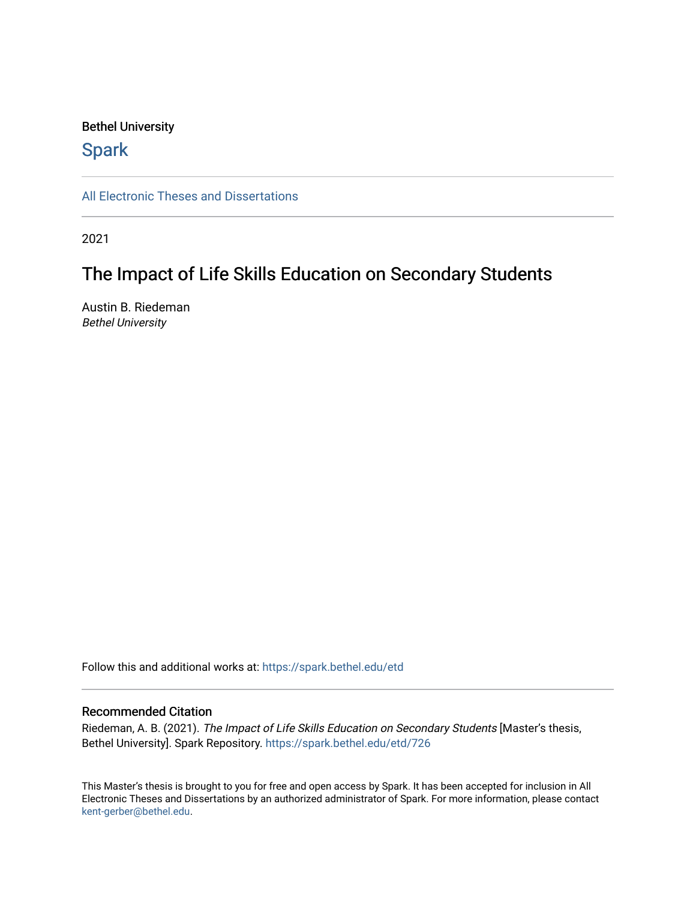#### Bethel University

## **Spark**

[All Electronic Theses and Dissertations](https://spark.bethel.edu/etd) 

2021

# The Impact of Life Skills Education on Secondary Students

Austin B. Riedeman Bethel University

Follow this and additional works at: [https://spark.bethel.edu/etd](https://spark.bethel.edu/etd?utm_source=spark.bethel.edu%2Fetd%2F726&utm_medium=PDF&utm_campaign=PDFCoverPages)

#### Recommended Citation

Riedeman, A. B. (2021). The Impact of Life Skills Education on Secondary Students [Master's thesis, Bethel University]. Spark Repository. [https://spark.bethel.edu/etd/726](https://spark.bethel.edu/etd/726?utm_source=spark.bethel.edu%2Fetd%2F726&utm_medium=PDF&utm_campaign=PDFCoverPages) 

This Master's thesis is brought to you for free and open access by Spark. It has been accepted for inclusion in All Electronic Theses and Dissertations by an authorized administrator of Spark. For more information, please contact [kent-gerber@bethel.edu](mailto:kent-gerber@bethel.edu).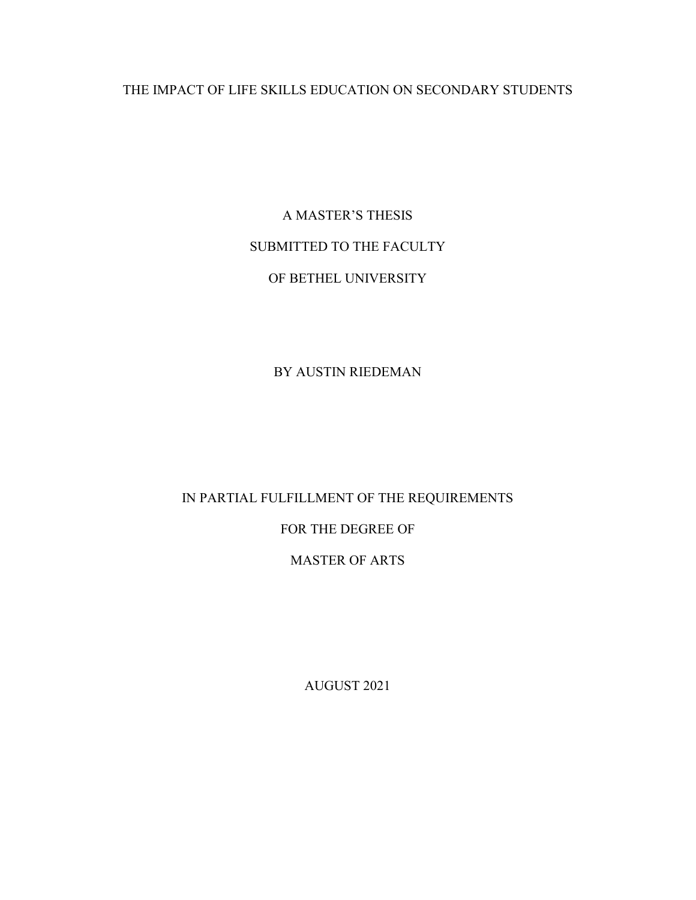## THE IMPACT OF LIFE SKILLS EDUCATION ON SECONDARY STUDENTS

A MASTER'S THESIS SUBMITTED TO THE FACULTY OF BETHEL UNIVERSITY

BY AUSTIN RIEDEMAN

IN PARTIAL FULFILLMENT OF THE REQUIREMENTS FOR THE DEGREE OF MASTER OF ARTS

AUGUST 2021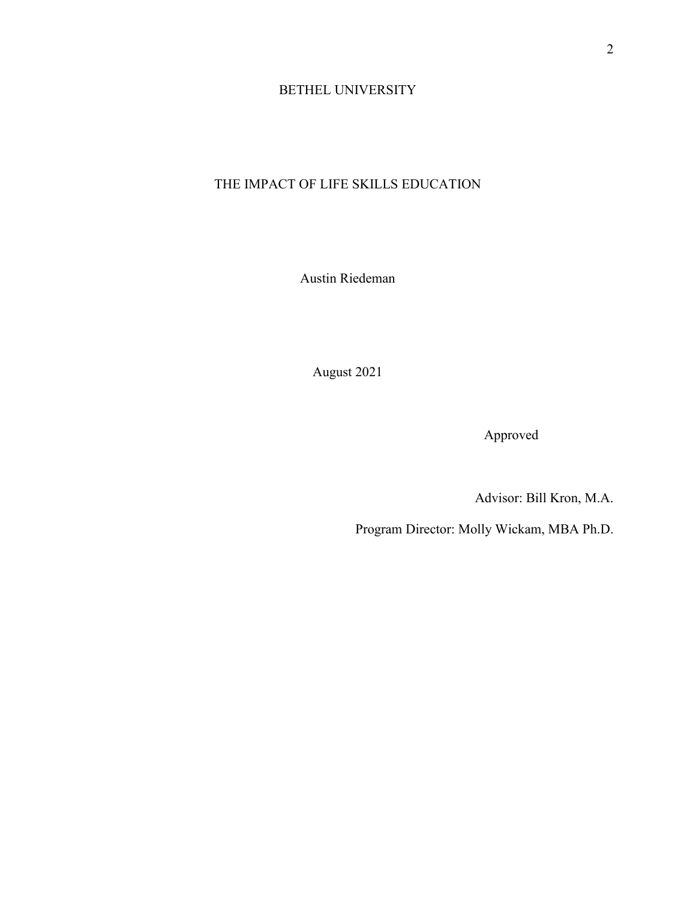### BETHEL UNIVERSITY

## THE IMPACT OF LIFE SKILLS EDUCATION

Austin Riedeman

August 2021

Approved

Advisor: Bill Kron, M.A.

Program Director: Molly Wickam, MBA Ph.D.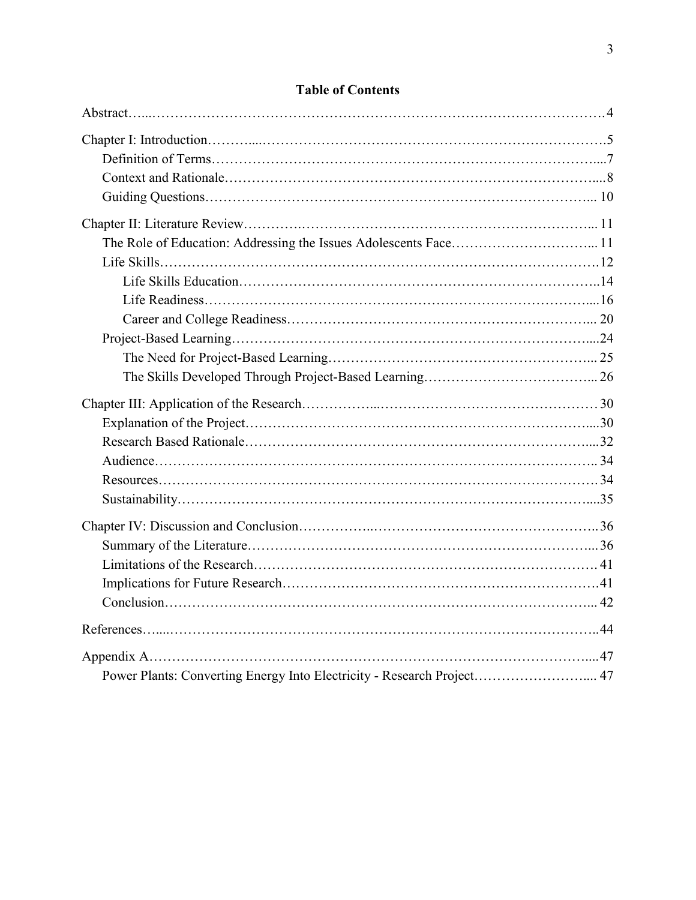| <b>Table of Contents</b> |  |
|--------------------------|--|
|                          |  |
|                          |  |
|                          |  |
|                          |  |

## **Table of Contents**

| Power Plants: Converting Energy Into Electricity - Research Project 47 |  |
|------------------------------------------------------------------------|--|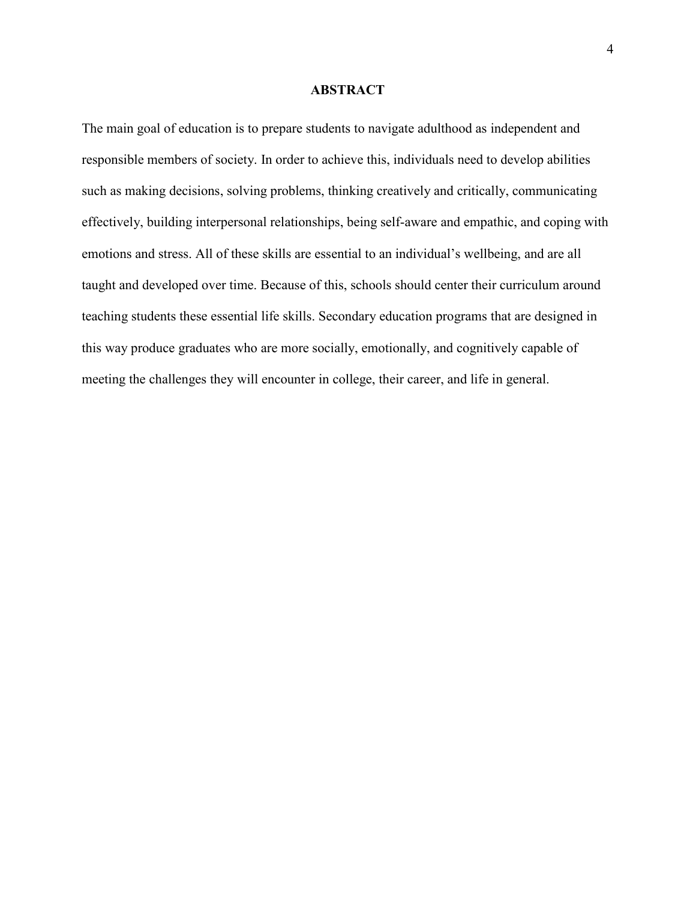#### **ABSTRACT**

The main goal of education is to prepare students to navigate adulthood as independent and responsible members of society. In order to achieve this, individuals need to develop abilities such as making decisions, solving problems, thinking creatively and critically, communicating effectively, building interpersonal relationships, being self-aware and empathic, and coping with emotions and stress. All of these skills are essential to an individual's wellbeing, and are all taught and developed over time. Because of this, schools should center their curriculum around teaching students these essential life skills. Secondary education programs that are designed in this way produce graduates who are more socially, emotionally, and cognitively capable of meeting the challenges they will encounter in college, their career, and life in general.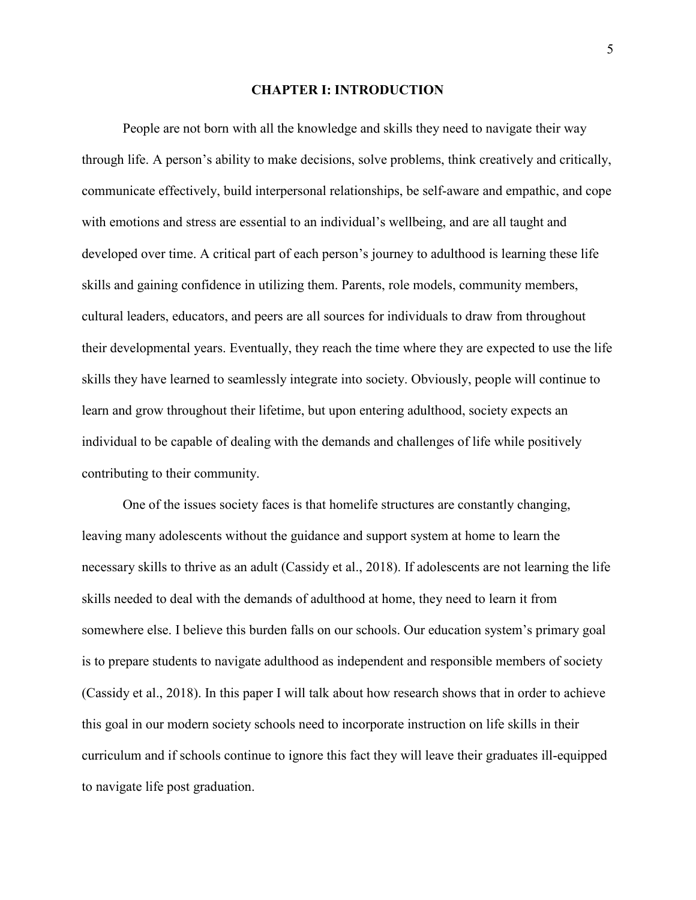#### **CHAPTER I: INTRODUCTION**

 People are not born with all the knowledge and skills they need to navigate their way through life. A person's ability to make decisions, solve problems, think creatively and critically, communicate effectively, build interpersonal relationships, be self-aware and empathic, and cope with emotions and stress are essential to an individual's wellbeing, and are all taught and developed over time. A critical part of each person's journey to adulthood is learning these life skills and gaining confidence in utilizing them. Parents, role models, community members, cultural leaders, educators, and peers are all sources for individuals to draw from throughout their developmental years. Eventually, they reach the time where they are expected to use the life skills they have learned to seamlessly integrate into society. Obviously, people will continue to learn and grow throughout their lifetime, but upon entering adulthood, society expects an individual to be capable of dealing with the demands and challenges of life while positively contributing to their community.

One of the issues society faces is that homelife structures are constantly changing, leaving many adolescents without the guidance and support system at home to learn the necessary skills to thrive as an adult (Cassidy et al., 2018). If adolescents are not learning the life skills needed to deal with the demands of adulthood at home, they need to learn it from somewhere else. I believe this burden falls on our schools. Our education system's primary goal is to prepare students to navigate adulthood as independent and responsible members of society (Cassidy et al., 2018). In this paper I will talk about how research shows that in order to achieve this goal in our modern society schools need to incorporate instruction on life skills in their curriculum and if schools continue to ignore this fact they will leave their graduates ill-equipped to navigate life post graduation.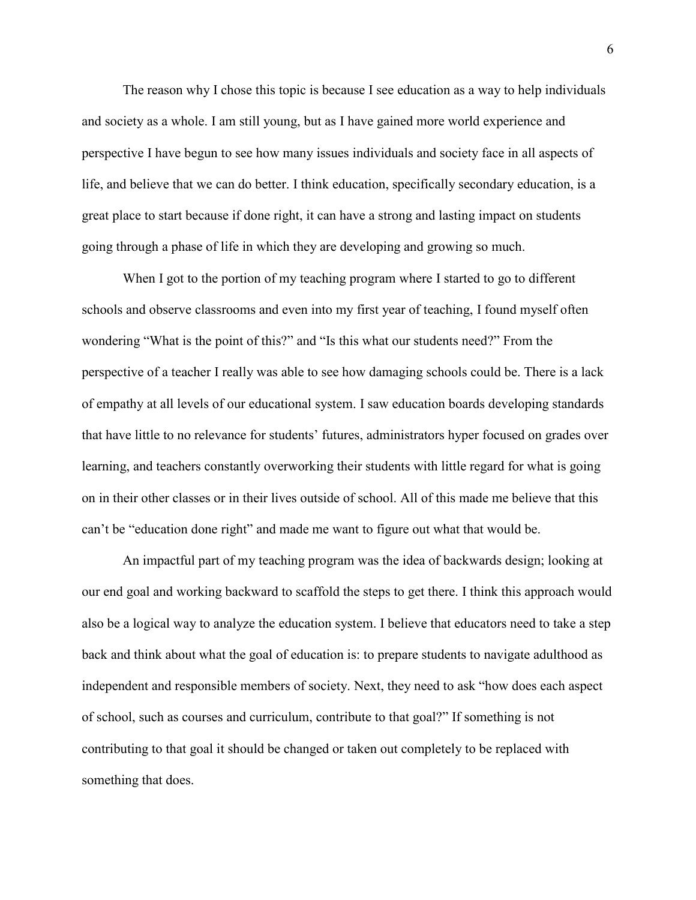The reason why I chose this topic is because I see education as a way to help individuals and society as a whole. I am still young, but as I have gained more world experience and perspective I have begun to see how many issues individuals and society face in all aspects of life, and believe that we can do better. I think education, specifically secondary education, is a great place to start because if done right, it can have a strong and lasting impact on students going through a phase of life in which they are developing and growing so much.

When I got to the portion of my teaching program where I started to go to different schools and observe classrooms and even into my first year of teaching, I found myself often wondering "What is the point of this?" and "Is this what our students need?" From the perspective of a teacher I really was able to see how damaging schools could be. There is a lack of empathy at all levels of our educational system. I saw education boards developing standards that have little to no relevance for students' futures, administrators hyper focused on grades over learning, and teachers constantly overworking their students with little regard for what is going on in their other classes or in their lives outside of school. All of this made me believe that this can't be "education done right" and made me want to figure out what that would be.

An impactful part of my teaching program was the idea of backwards design; looking at our end goal and working backward to scaffold the steps to get there. I think this approach would also be a logical way to analyze the education system. I believe that educators need to take a step back and think about what the goal of education is: to prepare students to navigate adulthood as independent and responsible members of society. Next, they need to ask "how does each aspect of school, such as courses and curriculum, contribute to that goal?" If something is not contributing to that goal it should be changed or taken out completely to be replaced with something that does.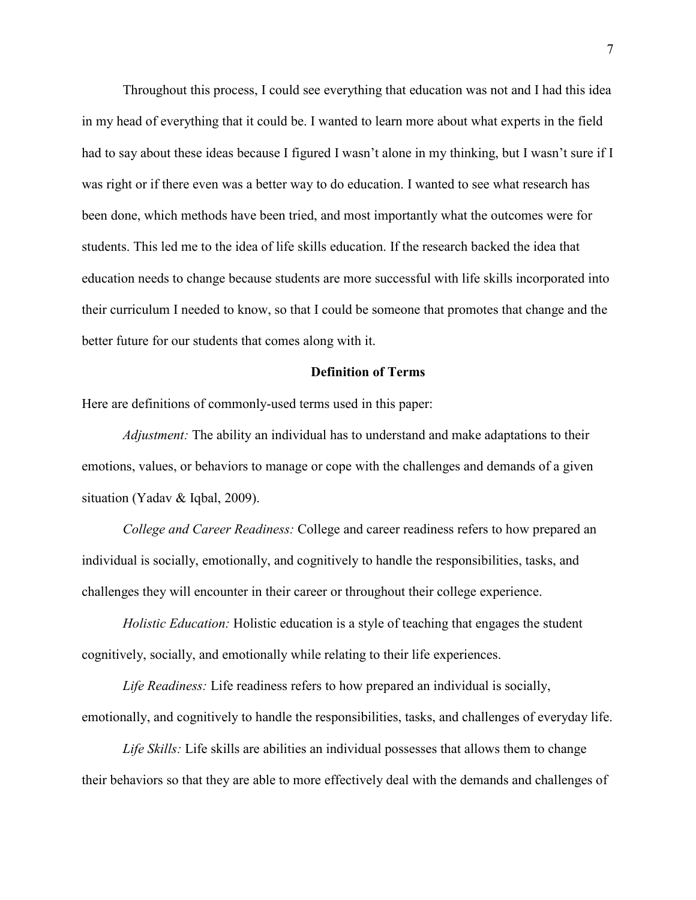Throughout this process, I could see everything that education was not and I had this idea in my head of everything that it could be. I wanted to learn more about what experts in the field had to say about these ideas because I figured I wasn't alone in my thinking, but I wasn't sure if I was right or if there even was a better way to do education. I wanted to see what research has been done, which methods have been tried, and most importantly what the outcomes were for students. This led me to the idea of life skills education. If the research backed the idea that education needs to change because students are more successful with life skills incorporated into their curriculum I needed to know, so that I could be someone that promotes that change and the better future for our students that comes along with it.

#### **Definition of Terms**

Here are definitions of commonly-used terms used in this paper:

*Adjustment:* The ability an individual has to understand and make adaptations to their emotions, values, or behaviors to manage or cope with the challenges and demands of a given situation (Yadav & Iqbal, 2009).

*College and Career Readiness:* College and career readiness refers to how prepared an individual is socially, emotionally, and cognitively to handle the responsibilities, tasks, and challenges they will encounter in their career or throughout their college experience.

*Holistic Education:* Holistic education is a style of teaching that engages the student cognitively, socially, and emotionally while relating to their life experiences.

*Life Readiness:* Life readiness refers to how prepared an individual is socially, emotionally, and cognitively to handle the responsibilities, tasks, and challenges of everyday life.

*Life Skills:* Life skills are abilities an individual possesses that allows them to change their behaviors so that they are able to more effectively deal with the demands and challenges of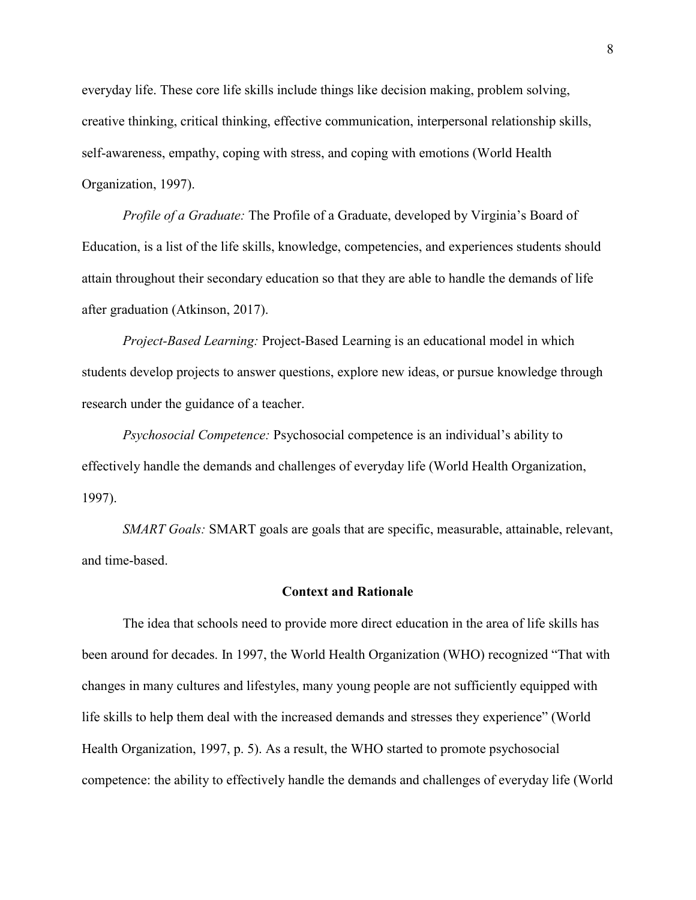everyday life. These core life skills include things like decision making, problem solving, creative thinking, critical thinking, effective communication, interpersonal relationship skills, self-awareness, empathy, coping with stress, and coping with emotions (World Health Organization, 1997).

*Profile of a Graduate:* The Profile of a Graduate, developed by Virginia's Board of Education, is a list of the life skills, knowledge, competencies, and experiences students should attain throughout their secondary education so that they are able to handle the demands of life after graduation (Atkinson, 2017).

*Project-Based Learning:* Project-Based Learning is an educational model in which students develop projects to answer questions, explore new ideas, or pursue knowledge through research under the guidance of a teacher.

*Psychosocial Competence:* Psychosocial competence is an individual's ability to effectively handle the demands and challenges of everyday life (World Health Organization, 1997).

*SMART Goals:* SMART goals are goals that are specific, measurable, attainable, relevant, and time-based.

#### **Context and Rationale**

 The idea that schools need to provide more direct education in the area of life skills has been around for decades. In 1997, the World Health Organization (WHO) recognized "That with changes in many cultures and lifestyles, many young people are not sufficiently equipped with life skills to help them deal with the increased demands and stresses they experience" (World Health Organization, 1997, p. 5). As a result, the WHO started to promote psychosocial competence: the ability to effectively handle the demands and challenges of everyday life (World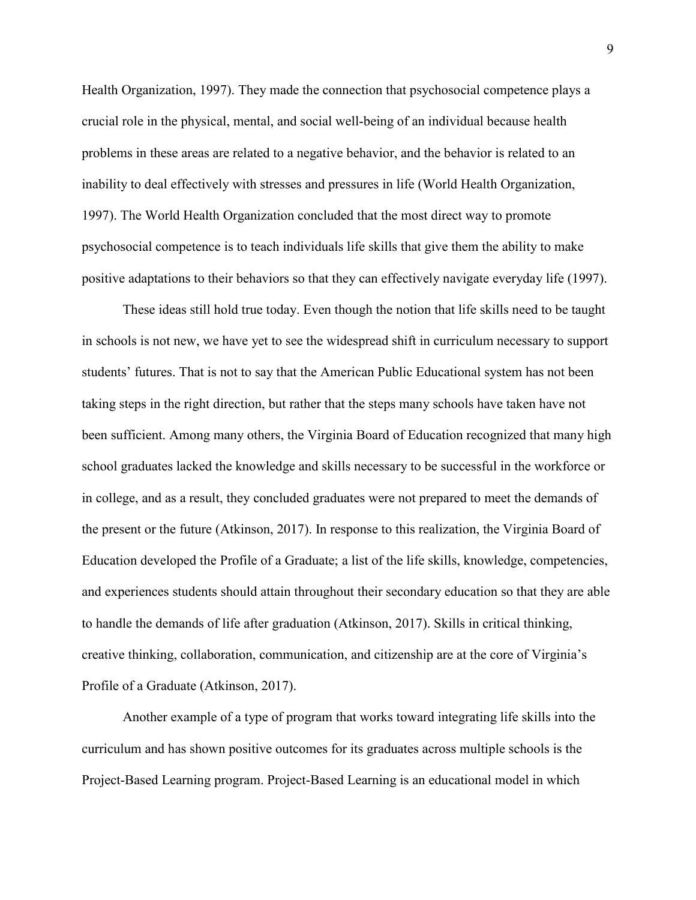Health Organization, 1997). They made the connection that psychosocial competence plays a crucial role in the physical, mental, and social well-being of an individual because health problems in these areas are related to a negative behavior, and the behavior is related to an inability to deal effectively with stresses and pressures in life (World Health Organization, 1997). The World Health Organization concluded that the most direct way to promote psychosocial competence is to teach individuals life skills that give them the ability to make positive adaptations to their behaviors so that they can effectively navigate everyday life (1997).

 These ideas still hold true today. Even though the notion that life skills need to be taught in schools is not new, we have yet to see the widespread shift in curriculum necessary to support students' futures. That is not to say that the American Public Educational system has not been taking steps in the right direction, but rather that the steps many schools have taken have not been sufficient. Among many others, the Virginia Board of Education recognized that many high school graduates lacked the knowledge and skills necessary to be successful in the workforce or in college, and as a result, they concluded graduates were not prepared to meet the demands of the present or the future (Atkinson, 2017). In response to this realization, the Virginia Board of Education developed the Profile of a Graduate; a list of the life skills, knowledge, competencies, and experiences students should attain throughout their secondary education so that they are able to handle the demands of life after graduation (Atkinson, 2017). Skills in critical thinking, creative thinking, collaboration, communication, and citizenship are at the core of Virginia's Profile of a Graduate (Atkinson, 2017).

Another example of a type of program that works toward integrating life skills into the curriculum and has shown positive outcomes for its graduates across multiple schools is the Project-Based Learning program. Project-Based Learning is an educational model in which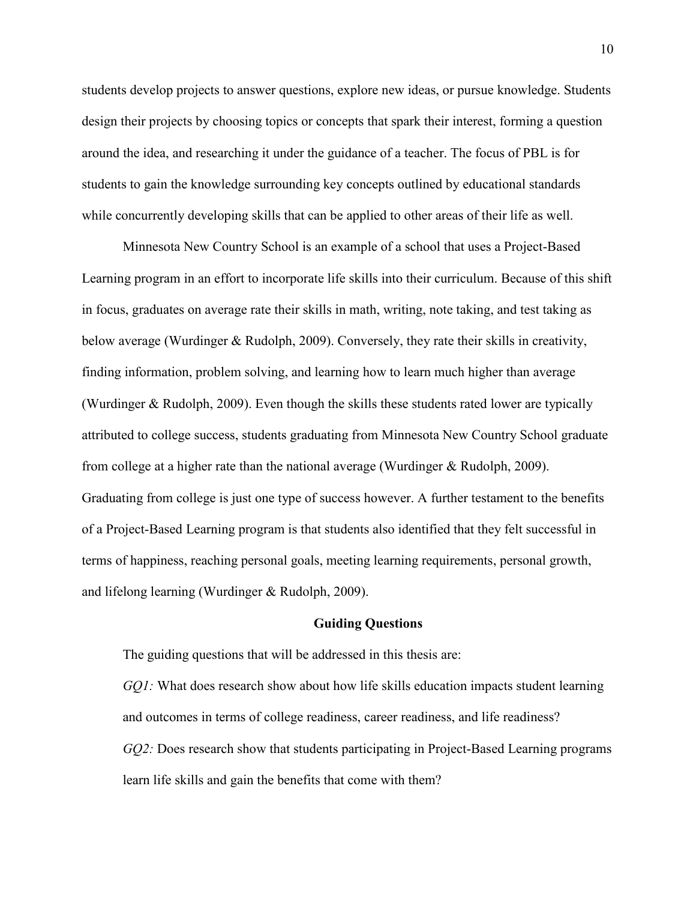students develop projects to answer questions, explore new ideas, or pursue knowledge. Students design their projects by choosing topics or concepts that spark their interest, forming a question around the idea, and researching it under the guidance of a teacher. The focus of PBL is for students to gain the knowledge surrounding key concepts outlined by educational standards while concurrently developing skills that can be applied to other areas of their life as well.

Minnesota New Country School is an example of a school that uses a Project-Based Learning program in an effort to incorporate life skills into their curriculum. Because of this shift in focus, graduates on average rate their skills in math, writing, note taking, and test taking as below average (Wurdinger & Rudolph, 2009). Conversely, they rate their skills in creativity, finding information, problem solving, and learning how to learn much higher than average (Wurdinger & Rudolph, 2009). Even though the skills these students rated lower are typically attributed to college success, students graduating from Minnesota New Country School graduate from college at a higher rate than the national average (Wurdinger & Rudolph, 2009). Graduating from college is just one type of success however. A further testament to the benefits of a Project-Based Learning program is that students also identified that they felt successful in terms of happiness, reaching personal goals, meeting learning requirements, personal growth, and lifelong learning (Wurdinger & Rudolph, 2009).

#### **Guiding Questions**

The guiding questions that will be addressed in this thesis are: *GQ1*: What does research show about how life skills education impacts student learning and outcomes in terms of college readiness, career readiness, and life readiness? *GQ2:* Does research show that students participating in Project-Based Learning programs learn life skills and gain the benefits that come with them?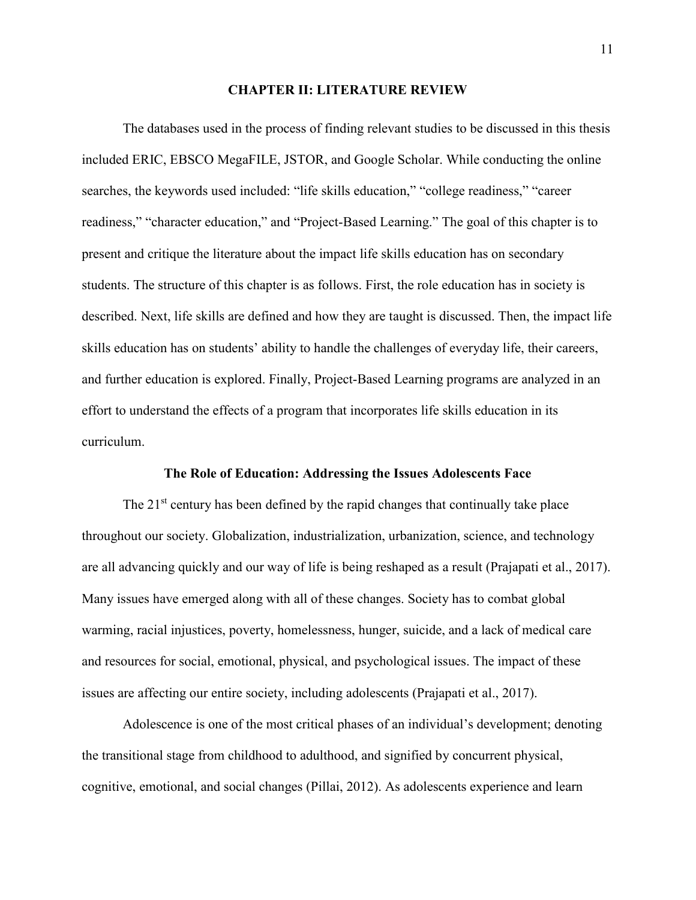#### **CHAPTER II: LITERATURE REVIEW**

The databases used in the process of finding relevant studies to be discussed in this thesis included ERIC, EBSCO MegaFILE, JSTOR, and Google Scholar. While conducting the online searches, the keywords used included: "life skills education," "college readiness," "career readiness," "character education," and "Project-Based Learning." The goal of this chapter is to present and critique the literature about the impact life skills education has on secondary students. The structure of this chapter is as follows. First, the role education has in society is described. Next, life skills are defined and how they are taught is discussed. Then, the impact life skills education has on students' ability to handle the challenges of everyday life, their careers, and further education is explored. Finally, Project-Based Learning programs are analyzed in an effort to understand the effects of a program that incorporates life skills education in its curriculum.

#### **The Role of Education: Addressing the Issues Adolescents Face**

The  $21<sup>st</sup>$  century has been defined by the rapid changes that continually take place throughout our society. Globalization, industrialization, urbanization, science, and technology are all advancing quickly and our way of life is being reshaped as a result (Prajapati et al., 2017). Many issues have emerged along with all of these changes. Society has to combat global warming, racial injustices, poverty, homelessness, hunger, suicide, and a lack of medical care and resources for social, emotional, physical, and psychological issues. The impact of these issues are affecting our entire society, including adolescents (Prajapati et al., 2017).

 Adolescence is one of the most critical phases of an individual's development; denoting the transitional stage from childhood to adulthood, and signified by concurrent physical, cognitive, emotional, and social changes (Pillai, 2012). As adolescents experience and learn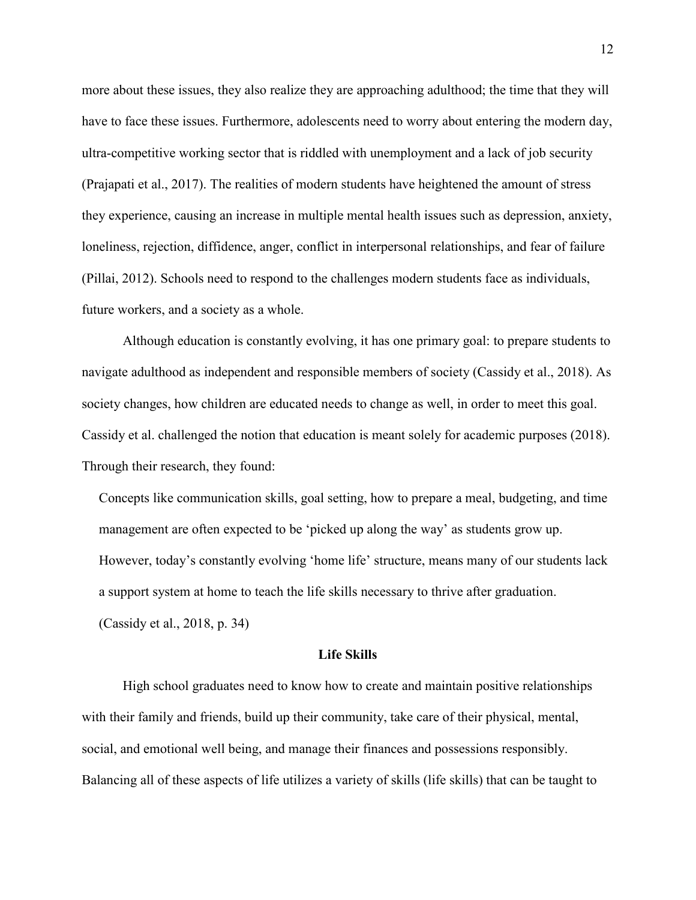more about these issues, they also realize they are approaching adulthood; the time that they will have to face these issues. Furthermore, adolescents need to worry about entering the modern day, ultra-competitive working sector that is riddled with unemployment and a lack of job security (Prajapati et al., 2017). The realities of modern students have heightened the amount of stress they experience, causing an increase in multiple mental health issues such as depression, anxiety, loneliness, rejection, diffidence, anger, conflict in interpersonal relationships, and fear of failure (Pillai, 2012). Schools need to respond to the challenges modern students face as individuals, future workers, and a society as a whole.

 Although education is constantly evolving, it has one primary goal: to prepare students to navigate adulthood as independent and responsible members of society (Cassidy et al., 2018). As society changes, how children are educated needs to change as well, in order to meet this goal. Cassidy et al. challenged the notion that education is meant solely for academic purposes (2018). Through their research, they found:

 Concepts like communication skills, goal setting, how to prepare a meal, budgeting, and time management are often expected to be 'picked up along the way' as students grow up. However, today's constantly evolving 'home life' structure, means many of our students lack a support system at home to teach the life skills necessary to thrive after graduation. (Cassidy et al., 2018, p. 34)

#### **Life Skills**

High school graduates need to know how to create and maintain positive relationships with their family and friends, build up their community, take care of their physical, mental, social, and emotional well being, and manage their finances and possessions responsibly. Balancing all of these aspects of life utilizes a variety of skills (life skills) that can be taught to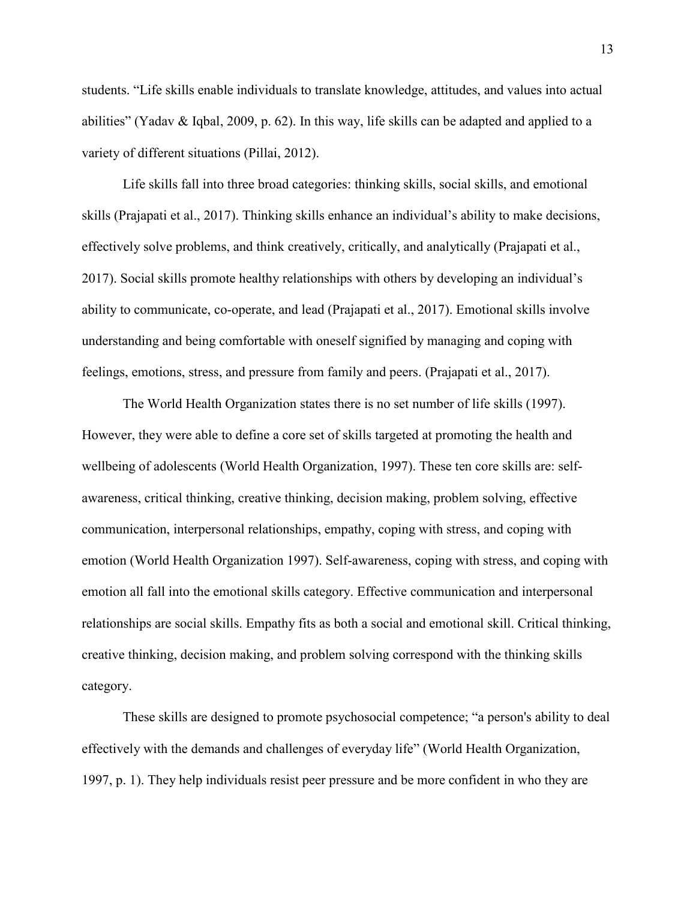students. "Life skills enable individuals to translate knowledge, attitudes, and values into actual abilities" (Yadav & Iqbal, 2009, p. 62). In this way, life skills can be adapted and applied to a variety of different situations (Pillai, 2012).

Life skills fall into three broad categories: thinking skills, social skills, and emotional skills (Prajapati et al., 2017). Thinking skills enhance an individual's ability to make decisions, effectively solve problems, and think creatively, critically, and analytically (Prajapati et al., 2017). Social skills promote healthy relationships with others by developing an individual's ability to communicate, co-operate, and lead (Prajapati et al., 2017). Emotional skills involve understanding and being comfortable with oneself signified by managing and coping with feelings, emotions, stress, and pressure from family and peers. (Prajapati et al., 2017).

The World Health Organization states there is no set number of life skills (1997). However, they were able to define a core set of skills targeted at promoting the health and wellbeing of adolescents (World Health Organization, 1997). These ten core skills are: selfawareness, critical thinking, creative thinking, decision making, problem solving, effective communication, interpersonal relationships, empathy, coping with stress, and coping with emotion (World Health Organization 1997). Self-awareness, coping with stress, and coping with emotion all fall into the emotional skills category. Effective communication and interpersonal relationships are social skills. Empathy fits as both a social and emotional skill. Critical thinking, creative thinking, decision making, and problem solving correspond with the thinking skills category.

These skills are designed to promote psychosocial competence; "a person's ability to deal effectively with the demands and challenges of everyday life" (World Health Organization, 1997, p. 1). They help individuals resist peer pressure and be more confident in who they are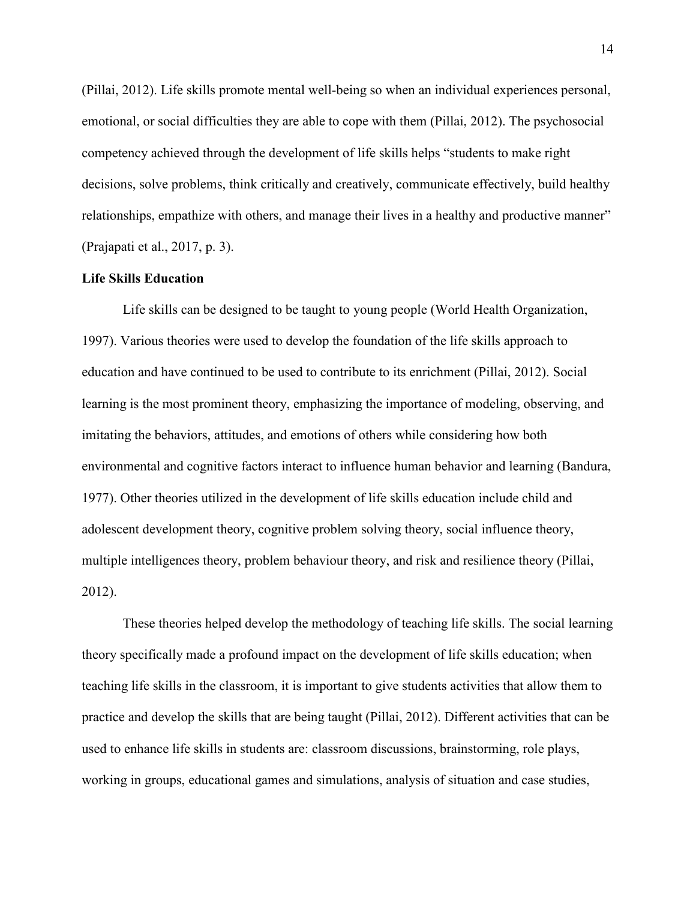(Pillai, 2012). Life skills promote mental well-being so when an individual experiences personal, emotional, or social difficulties they are able to cope with them (Pillai, 2012). The psychosocial competency achieved through the development of life skills helps "students to make right decisions, solve problems, think critically and creatively, communicate effectively, build healthy relationships, empathize with others, and manage their lives in a healthy and productive manner" (Prajapati et al., 2017, p. 3).

#### **Life Skills Education**

Life skills can be designed to be taught to young people (World Health Organization, 1997). Various theories were used to develop the foundation of the life skills approach to education and have continued to be used to contribute to its enrichment (Pillai, 2012). Social learning is the most prominent theory, emphasizing the importance of modeling, observing, and imitating the behaviors, attitudes, and emotions of others while considering how both environmental and cognitive factors interact to influence human behavior and learning (Bandura, 1977). Other theories utilized in the development of life skills education include child and adolescent development theory, cognitive problem solving theory, social influence theory, multiple intelligences theory, problem behaviour theory, and risk and resilience theory (Pillai, 2012).

These theories helped develop the methodology of teaching life skills. The social learning theory specifically made a profound impact on the development of life skills education; when teaching life skills in the classroom, it is important to give students activities that allow them to practice and develop the skills that are being taught (Pillai, 2012). Different activities that can be used to enhance life skills in students are: classroom discussions, brainstorming, role plays, working in groups, educational games and simulations, analysis of situation and case studies,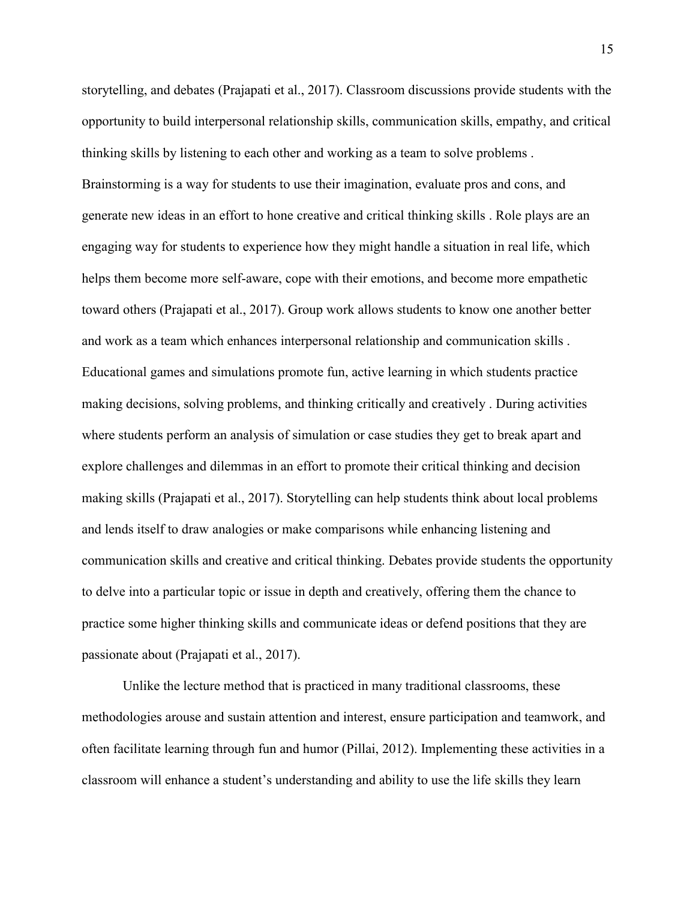storytelling, and debates (Prajapati et al., 2017). Classroom discussions provide students with the opportunity to build interpersonal relationship skills, communication skills, empathy, and critical thinking skills by listening to each other and working as a team to solve problems . Brainstorming is a way for students to use their imagination, evaluate pros and cons, and generate new ideas in an effort to hone creative and critical thinking skills . Role plays are an engaging way for students to experience how they might handle a situation in real life, which helps them become more self-aware, cope with their emotions, and become more empathetic toward others (Prajapati et al., 2017). Group work allows students to know one another better and work as a team which enhances interpersonal relationship and communication skills . Educational games and simulations promote fun, active learning in which students practice making decisions, solving problems, and thinking critically and creatively . During activities where students perform an analysis of simulation or case studies they get to break apart and explore challenges and dilemmas in an effort to promote their critical thinking and decision making skills (Prajapati et al., 2017). Storytelling can help students think about local problems and lends itself to draw analogies or make comparisons while enhancing listening and communication skills and creative and critical thinking. Debates provide students the opportunity to delve into a particular topic or issue in depth and creatively, offering them the chance to practice some higher thinking skills and communicate ideas or defend positions that they are passionate about (Prajapati et al., 2017).

Unlike the lecture method that is practiced in many traditional classrooms, these methodologies arouse and sustain attention and interest, ensure participation and teamwork, and often facilitate learning through fun and humor (Pillai, 2012). Implementing these activities in a classroom will enhance a student's understanding and ability to use the life skills they learn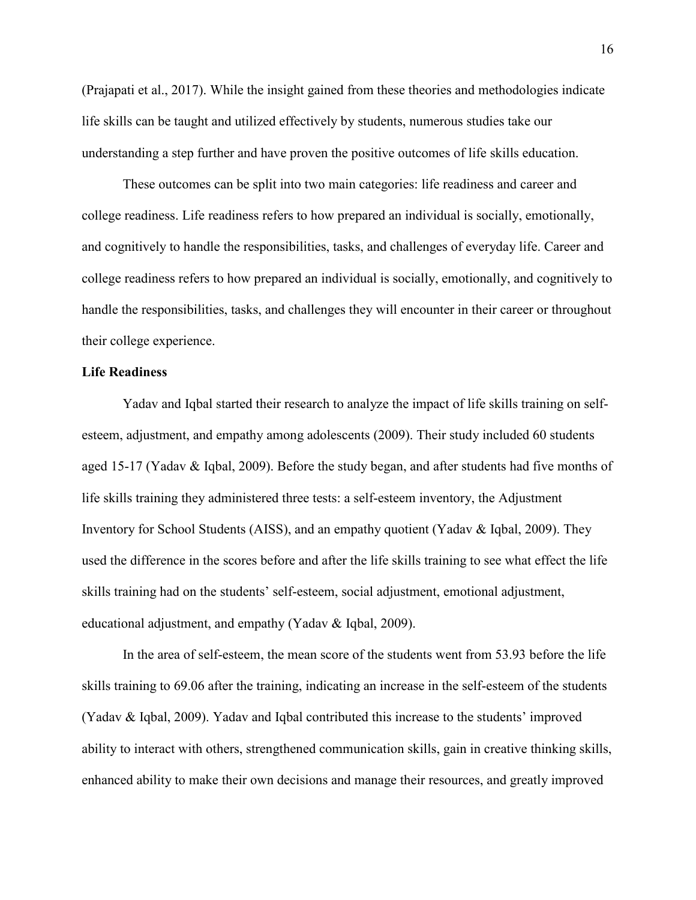(Prajapati et al., 2017). While the insight gained from these theories and methodologies indicate life skills can be taught and utilized effectively by students, numerous studies take our understanding a step further and have proven the positive outcomes of life skills education.

These outcomes can be split into two main categories: life readiness and career and college readiness. Life readiness refers to how prepared an individual is socially, emotionally, and cognitively to handle the responsibilities, tasks, and challenges of everyday life. Career and college readiness refers to how prepared an individual is socially, emotionally, and cognitively to handle the responsibilities, tasks, and challenges they will encounter in their career or throughout their college experience.

#### **Life Readiness**

Yadav and Iqbal started their research to analyze the impact of life skills training on selfesteem, adjustment, and empathy among adolescents (2009). Their study included 60 students aged 15-17 (Yadav & Iqbal, 2009). Before the study began, and after students had five months of life skills training they administered three tests: a self-esteem inventory, the Adjustment Inventory for School Students (AISS), and an empathy quotient (Yadav & Iqbal, 2009). They used the difference in the scores before and after the life skills training to see what effect the life skills training had on the students' self-esteem, social adjustment, emotional adjustment, educational adjustment, and empathy (Yadav & Iqbal, 2009).

In the area of self-esteem, the mean score of the students went from 53.93 before the life skills training to 69.06 after the training, indicating an increase in the self-esteem of the students (Yadav & Iqbal, 2009). Yadav and Iqbal contributed this increase to the students' improved ability to interact with others, strengthened communication skills, gain in creative thinking skills, enhanced ability to make their own decisions and manage their resources, and greatly improved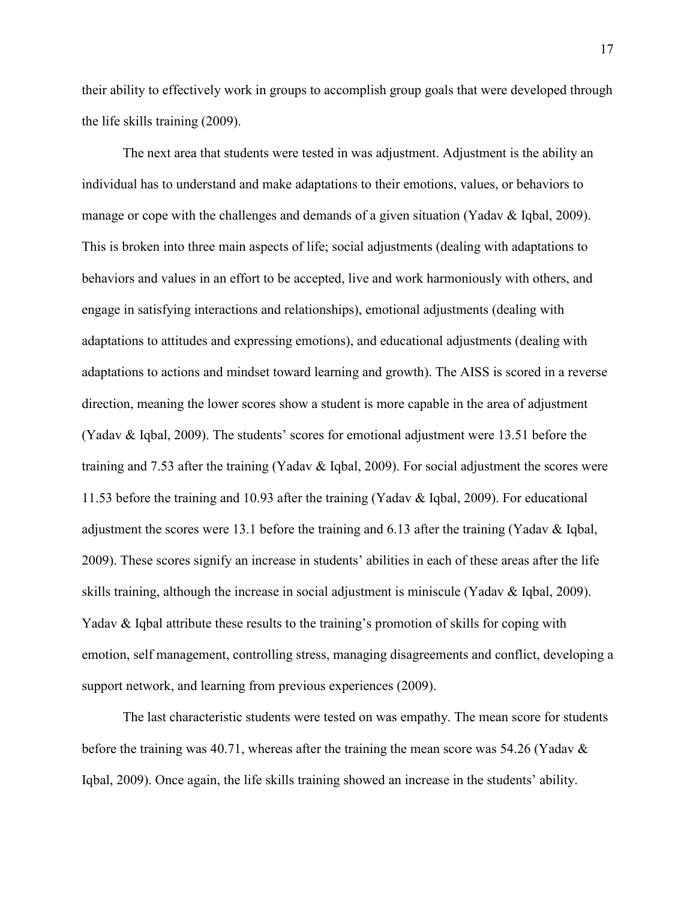their ability to effectively work in groups to accomplish group goals that were developed through the life skills training (2009).

The next area that students were tested in was adjustment. Adjustment is the ability an individual has to understand and make adaptations to their emotions, values, or behaviors to manage or cope with the challenges and demands of a given situation (Yadav & Iqbal, 2009). This is broken into three main aspects of life; social adjustments (dealing with adaptations to behaviors and values in an effort to be accepted, live and work harmoniously with others, and engage in satisfying interactions and relationships), emotional adjustments (dealing with adaptations to attitudes and expressing emotions), and educational adjustments (dealing with adaptations to actions and mindset toward learning and growth). The AISS is scored in a reverse direction, meaning the lower scores show a student is more capable in the area of adjustment (Yadav & Iqbal, 2009). The students' scores for emotional adjustment were 13.51 before the training and 7.53 after the training (Yadav & Iqbal, 2009). For social adjustment the scores were 11.53 before the training and 10.93 after the training (Yadav & Iqbal, 2009). For educational adjustment the scores were 13.1 before the training and 6.13 after the training (Yadav & Iqbal, 2009). These scores signify an increase in students' abilities in each of these areas after the life skills training, although the increase in social adjustment is miniscule (Yadav & Iqbal, 2009). Yadav & Iqbal attribute these results to the training's promotion of skills for coping with emotion, self management, controlling stress, managing disagreements and conflict, developing a support network, and learning from previous experiences (2009).

The last characteristic students were tested on was empathy. The mean score for students before the training was 40.71, whereas after the training the mean score was 54.26 (Yadav & Iqbal, 2009). Once again, the life skills training showed an increase in the students' ability.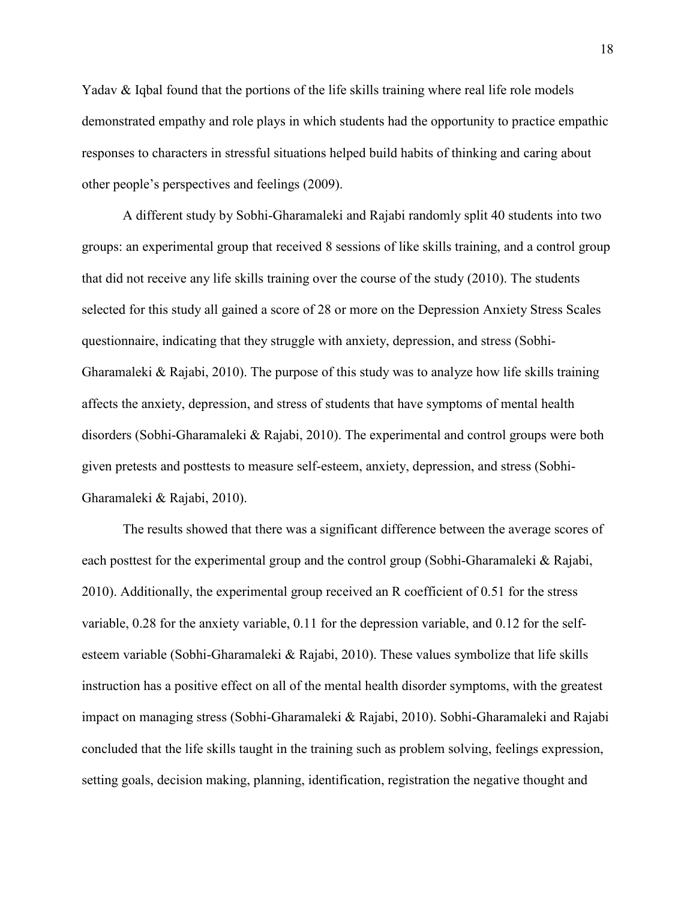Yadav & Iqbal found that the portions of the life skills training where real life role models demonstrated empathy and role plays in which students had the opportunity to practice empathic responses to characters in stressful situations helped build habits of thinking and caring about other people's perspectives and feelings (2009).

 A different study by Sobhi-Gharamaleki and Rajabi randomly split 40 students into two groups: an experimental group that received 8 sessions of like skills training, and a control group that did not receive any life skills training over the course of the study (2010). The students selected for this study all gained a score of 28 or more on the Depression Anxiety Stress Scales questionnaire, indicating that they struggle with anxiety, depression, and stress (Sobhi-Gharamaleki & Rajabi, 2010). The purpose of this study was to analyze how life skills training affects the anxiety, depression, and stress of students that have symptoms of mental health disorders (Sobhi-Gharamaleki & Rajabi, 2010). The experimental and control groups were both given pretests and posttests to measure self-esteem, anxiety, depression, and stress (Sobhi-Gharamaleki & Rajabi, 2010).

The results showed that there was a significant difference between the average scores of each posttest for the experimental group and the control group (Sobhi-Gharamaleki & Rajabi, 2010). Additionally, the experimental group received an R coefficient of 0.51 for the stress variable, 0.28 for the anxiety variable, 0.11 for the depression variable, and 0.12 for the selfesteem variable (Sobhi-Gharamaleki & Rajabi, 2010). These values symbolize that life skills instruction has a positive effect on all of the mental health disorder symptoms, with the greatest impact on managing stress (Sobhi-Gharamaleki & Rajabi, 2010). Sobhi-Gharamaleki and Rajabi concluded that the life skills taught in the training such as problem solving, feelings expression, setting goals, decision making, planning, identification, registration the negative thought and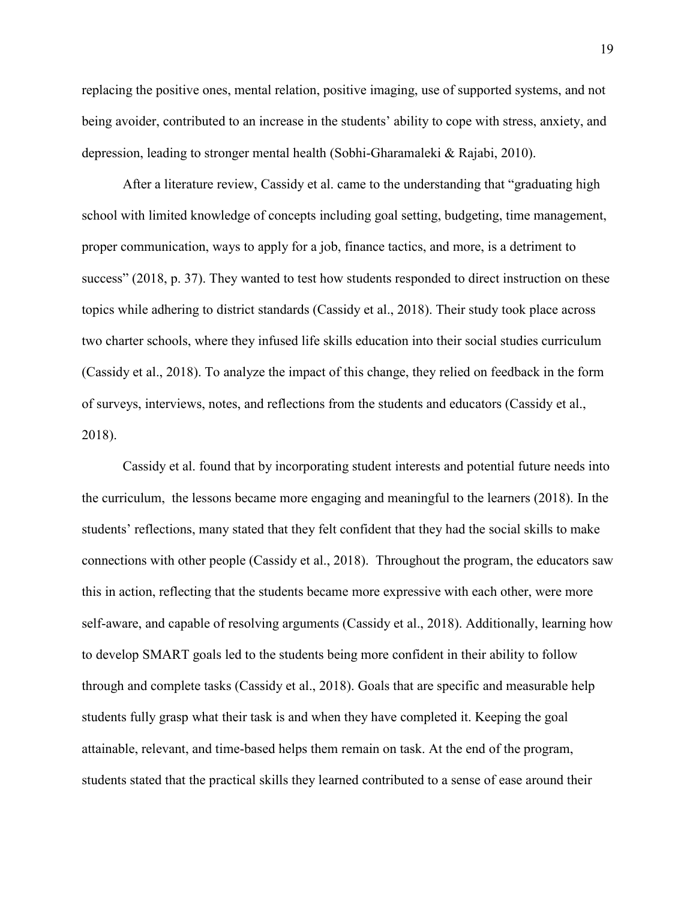replacing the positive ones, mental relation, positive imaging, use of supported systems, and not being avoider, contributed to an increase in the students' ability to cope with stress, anxiety, and depression, leading to stronger mental health (Sobhi-Gharamaleki & Rajabi, 2010).

After a literature review, Cassidy et al. came to the understanding that "graduating high school with limited knowledge of concepts including goal setting, budgeting, time management, proper communication, ways to apply for a job, finance tactics, and more, is a detriment to success" (2018, p. 37). They wanted to test how students responded to direct instruction on these topics while adhering to district standards (Cassidy et al., 2018). Their study took place across two charter schools, where they infused life skills education into their social studies curriculum (Cassidy et al., 2018). To analyze the impact of this change, they relied on feedback in the form of surveys, interviews, notes, and reflections from the students and educators (Cassidy et al., 2018).

 Cassidy et al. found that by incorporating student interests and potential future needs into the curriculum, the lessons became more engaging and meaningful to the learners (2018). In the students' reflections, many stated that they felt confident that they had the social skills to make connections with other people (Cassidy et al., 2018). Throughout the program, the educators saw this in action, reflecting that the students became more expressive with each other, were more self-aware, and capable of resolving arguments (Cassidy et al., 2018). Additionally, learning how to develop SMART goals led to the students being more confident in their ability to follow through and complete tasks (Cassidy et al., 2018). Goals that are specific and measurable help students fully grasp what their task is and when they have completed it. Keeping the goal attainable, relevant, and time-based helps them remain on task. At the end of the program, students stated that the practical skills they learned contributed to a sense of ease around their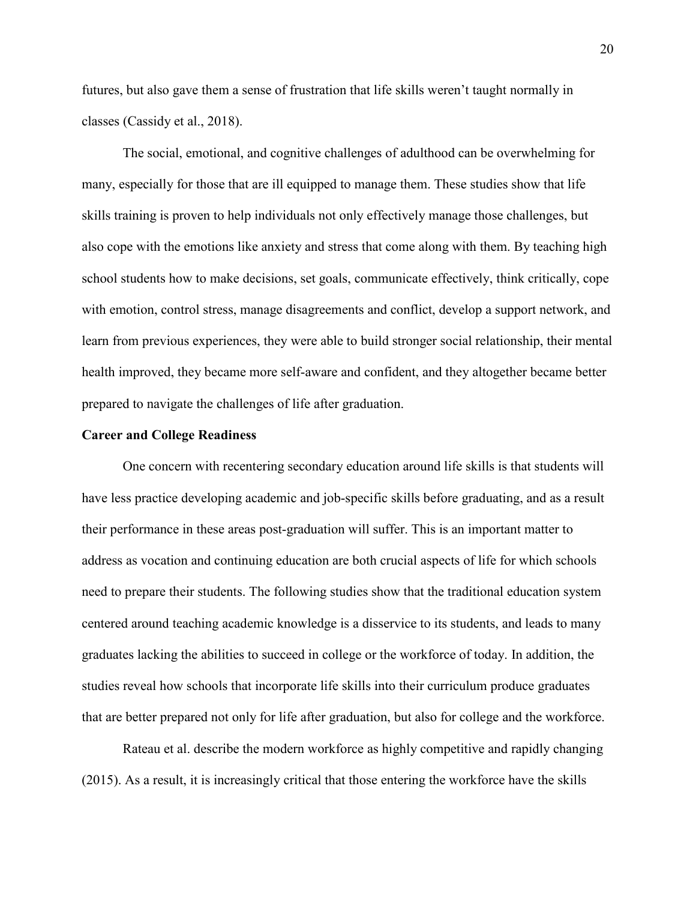futures, but also gave them a sense of frustration that life skills weren't taught normally in classes (Cassidy et al., 2018).

 The social, emotional, and cognitive challenges of adulthood can be overwhelming for many, especially for those that are ill equipped to manage them. These studies show that life skills training is proven to help individuals not only effectively manage those challenges, but also cope with the emotions like anxiety and stress that come along with them. By teaching high school students how to make decisions, set goals, communicate effectively, think critically, cope with emotion, control stress, manage disagreements and conflict, develop a support network, and learn from previous experiences, they were able to build stronger social relationship, their mental health improved, they became more self-aware and confident, and they altogether became better prepared to navigate the challenges of life after graduation.

#### **Career and College Readiness**

 One concern with recentering secondary education around life skills is that students will have less practice developing academic and job-specific skills before graduating, and as a result their performance in these areas post-graduation will suffer. This is an important matter to address as vocation and continuing education are both crucial aspects of life for which schools need to prepare their students. The following studies show that the traditional education system centered around teaching academic knowledge is a disservice to its students, and leads to many graduates lacking the abilities to succeed in college or the workforce of today. In addition, the studies reveal how schools that incorporate life skills into their curriculum produce graduates that are better prepared not only for life after graduation, but also for college and the workforce.

Rateau et al. describe the modern workforce as highly competitive and rapidly changing (2015). As a result, it is increasingly critical that those entering the workforce have the skills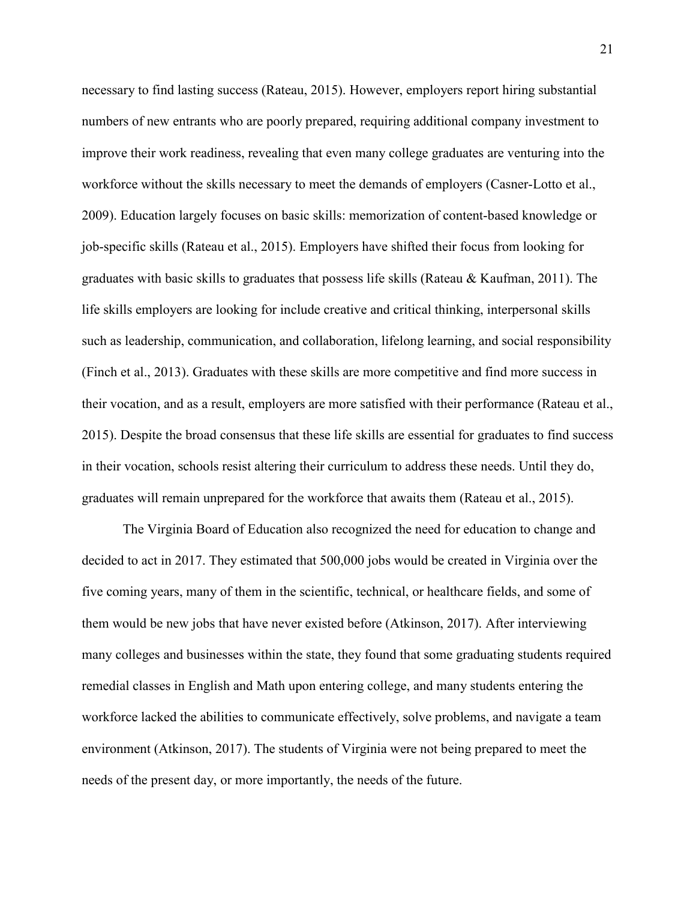necessary to find lasting success (Rateau, 2015). However, employers report hiring substantial numbers of new entrants who are poorly prepared, requiring additional company investment to improve their work readiness, revealing that even many college graduates are venturing into the workforce without the skills necessary to meet the demands of employers (Casner-Lotto et al., 2009). Education largely focuses on basic skills: memorization of content-based knowledge or job-specific skills (Rateau et al., 2015). Employers have shifted their focus from looking for graduates with basic skills to graduates that possess life skills (Rateau & Kaufman, 2011). The life skills employers are looking for include creative and critical thinking, interpersonal skills such as leadership, communication, and collaboration, lifelong learning, and social responsibility (Finch et al., 2013). Graduates with these skills are more competitive and find more success in their vocation, and as a result, employers are more satisfied with their performance (Rateau et al., 2015). Despite the broad consensus that these life skills are essential for graduates to find success in their vocation, schools resist altering their curriculum to address these needs. Until they do, graduates will remain unprepared for the workforce that awaits them (Rateau et al., 2015).

The Virginia Board of Education also recognized the need for education to change and decided to act in 2017. They estimated that 500,000 jobs would be created in Virginia over the five coming years, many of them in the scientific, technical, or healthcare fields, and some of them would be new jobs that have never existed before (Atkinson, 2017). After interviewing many colleges and businesses within the state, they found that some graduating students required remedial classes in English and Math upon entering college, and many students entering the workforce lacked the abilities to communicate effectively, solve problems, and navigate a team environment (Atkinson, 2017). The students of Virginia were not being prepared to meet the needs of the present day, or more importantly, the needs of the future.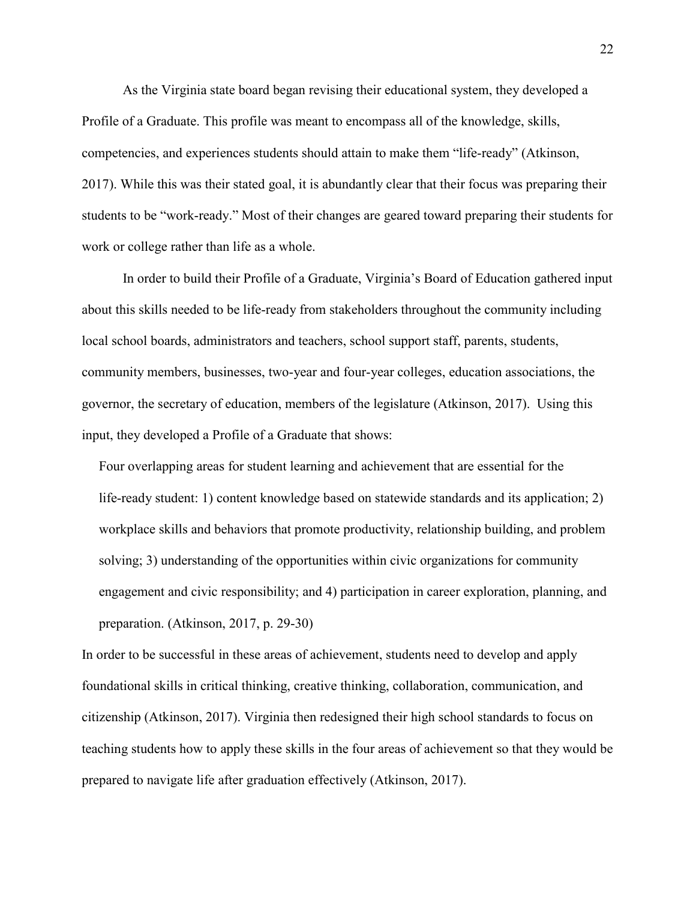As the Virginia state board began revising their educational system, they developed a Profile of a Graduate. This profile was meant to encompass all of the knowledge, skills, competencies, and experiences students should attain to make them "life-ready" (Atkinson, 2017). While this was their stated goal, it is abundantly clear that their focus was preparing their students to be "work-ready." Most of their changes are geared toward preparing their students for work or college rather than life as a whole.

 In order to build their Profile of a Graduate, Virginia's Board of Education gathered input about this skills needed to be life-ready from stakeholders throughout the community including local school boards, administrators and teachers, school support staff, parents, students, community members, businesses, two-year and four-year colleges, education associations, the governor, the secretary of education, members of the legislature (Atkinson, 2017). Using this input, they developed a Profile of a Graduate that shows:

 Four overlapping areas for student learning and achievement that are essential for the life-ready student: 1) content knowledge based on statewide standards and its application; 2) workplace skills and behaviors that promote productivity, relationship building, and problem solving; 3) understanding of the opportunities within civic organizations for community engagement and civic responsibility; and 4) participation in career exploration, planning, and preparation. (Atkinson, 2017, p. 29-30)

In order to be successful in these areas of achievement, students need to develop and apply foundational skills in critical thinking, creative thinking, collaboration, communication, and citizenship (Atkinson, 2017). Virginia then redesigned their high school standards to focus on teaching students how to apply these skills in the four areas of achievement so that they would be prepared to navigate life after graduation effectively (Atkinson, 2017).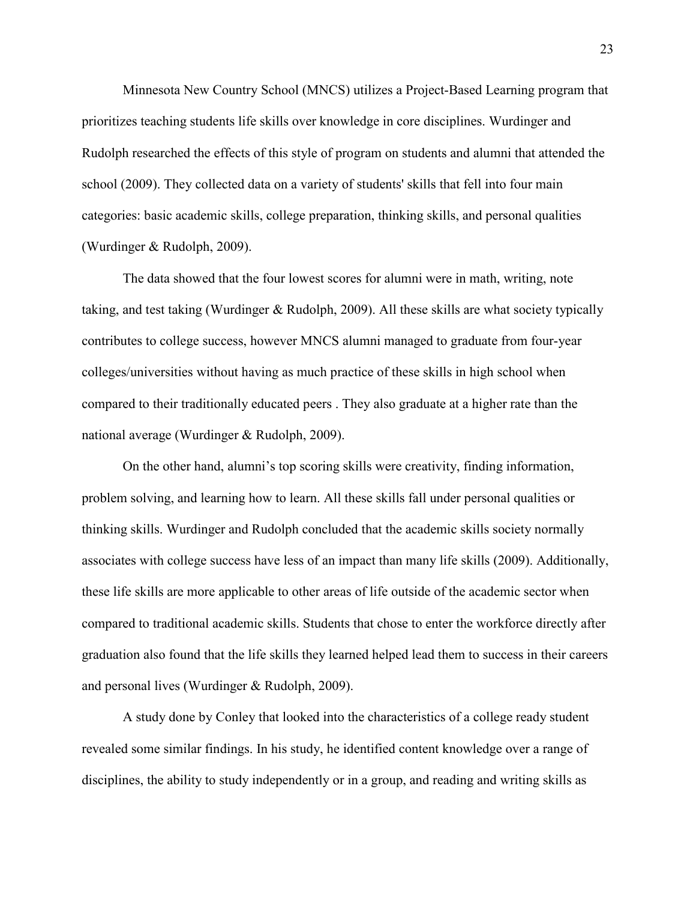Minnesota New Country School (MNCS) utilizes a Project-Based Learning program that prioritizes teaching students life skills over knowledge in core disciplines. Wurdinger and Rudolph researched the effects of this style of program on students and alumni that attended the school (2009). They collected data on a variety of students' skills that fell into four main categories: basic academic skills, college preparation, thinking skills, and personal qualities (Wurdinger & Rudolph, 2009).

 The data showed that the four lowest scores for alumni were in math, writing, note taking, and test taking (Wurdinger & Rudolph, 2009). All these skills are what society typically contributes to college success, however MNCS alumni managed to graduate from four-year colleges/universities without having as much practice of these skills in high school when compared to their traditionally educated peers . They also graduate at a higher rate than the national average (Wurdinger & Rudolph, 2009).

On the other hand, alumni's top scoring skills were creativity, finding information, problem solving, and learning how to learn. All these skills fall under personal qualities or thinking skills. Wurdinger and Rudolph concluded that the academic skills society normally associates with college success have less of an impact than many life skills (2009). Additionally, these life skills are more applicable to other areas of life outside of the academic sector when compared to traditional academic skills. Students that chose to enter the workforce directly after graduation also found that the life skills they learned helped lead them to success in their careers and personal lives (Wurdinger & Rudolph, 2009).

A study done by Conley that looked into the characteristics of a college ready student revealed some similar findings. In his study, he identified content knowledge over a range of disciplines, the ability to study independently or in a group, and reading and writing skills as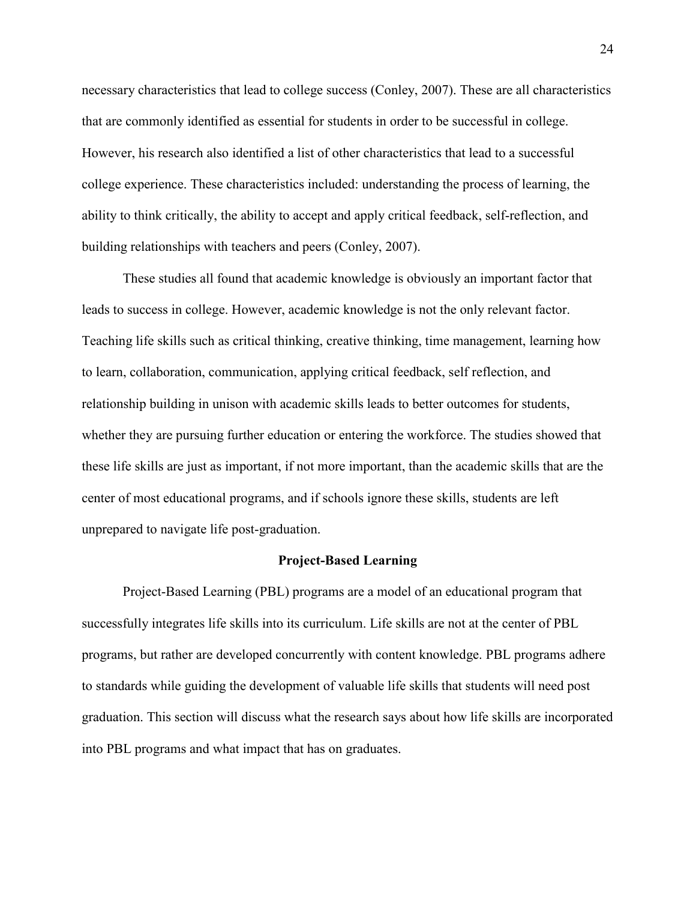necessary characteristics that lead to college success (Conley, 2007). These are all characteristics that are commonly identified as essential for students in order to be successful in college. However, his research also identified a list of other characteristics that lead to a successful college experience. These characteristics included: understanding the process of learning, the ability to think critically, the ability to accept and apply critical feedback, self-reflection, and building relationships with teachers and peers (Conley, 2007).

These studies all found that academic knowledge is obviously an important factor that leads to success in college. However, academic knowledge is not the only relevant factor. Teaching life skills such as critical thinking, creative thinking, time management, learning how to learn, collaboration, communication, applying critical feedback, self reflection, and relationship building in unison with academic skills leads to better outcomes for students, whether they are pursuing further education or entering the workforce. The studies showed that these life skills are just as important, if not more important, than the academic skills that are the center of most educational programs, and if schools ignore these skills, students are left unprepared to navigate life post-graduation.

#### **Project-Based Learning**

Project-Based Learning (PBL) programs are a model of an educational program that successfully integrates life skills into its curriculum. Life skills are not at the center of PBL programs, but rather are developed concurrently with content knowledge. PBL programs adhere to standards while guiding the development of valuable life skills that students will need post graduation. This section will discuss what the research says about how life skills are incorporated into PBL programs and what impact that has on graduates.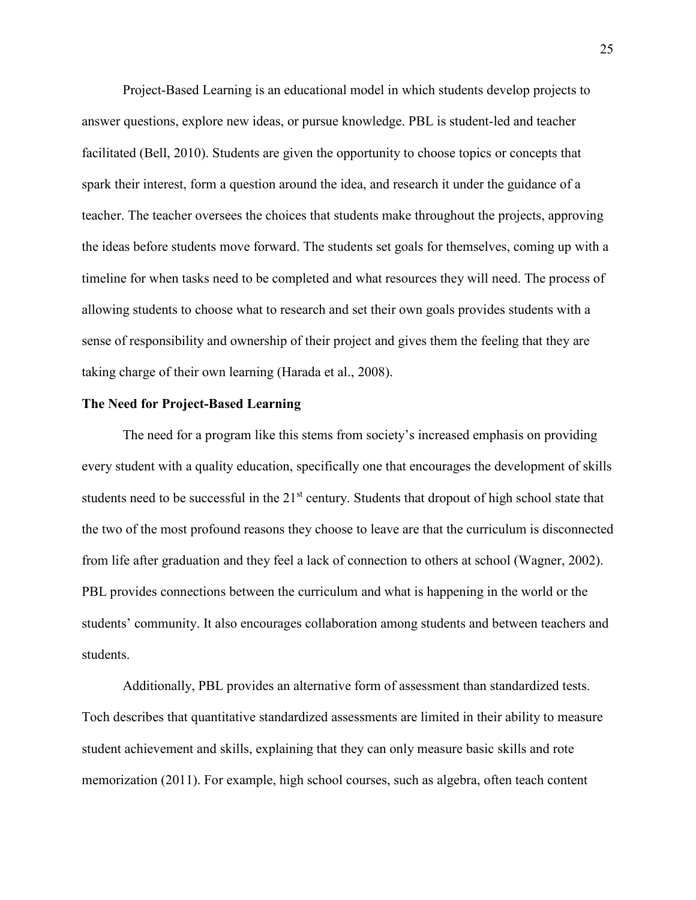Project-Based Learning is an educational model in which students develop projects to answer questions, explore new ideas, or pursue knowledge. PBL is student-led and teacher facilitated (Bell, 2010). Students are given the opportunity to choose topics or concepts that spark their interest, form a question around the idea, and research it under the guidance of a teacher. The teacher oversees the choices that students make throughout the projects, approving the ideas before students move forward. The students set goals for themselves, coming up with a timeline for when tasks need to be completed and what resources they will need. The process of allowing students to choose what to research and set their own goals provides students with a sense of responsibility and ownership of their project and gives them the feeling that they are taking charge of their own learning (Harada et al., 2008).

#### **The Need for Project-Based Learning**

The need for a program like this stems from society's increased emphasis on providing every student with a quality education, specifically one that encourages the development of skills students need to be successful in the  $21<sup>st</sup>$  century. Students that dropout of high school state that the two of the most profound reasons they choose to leave are that the curriculum is disconnected from life after graduation and they feel a lack of connection to others at school (Wagner, 2002). PBL provides connections between the curriculum and what is happening in the world or the students' community. It also encourages collaboration among students and between teachers and students.

Additionally, PBL provides an alternative form of assessment than standardized tests. Toch describes that quantitative standardized assessments are limited in their ability to measure student achievement and skills, explaining that they can only measure basic skills and rote memorization (2011). For example, high school courses, such as algebra, often teach content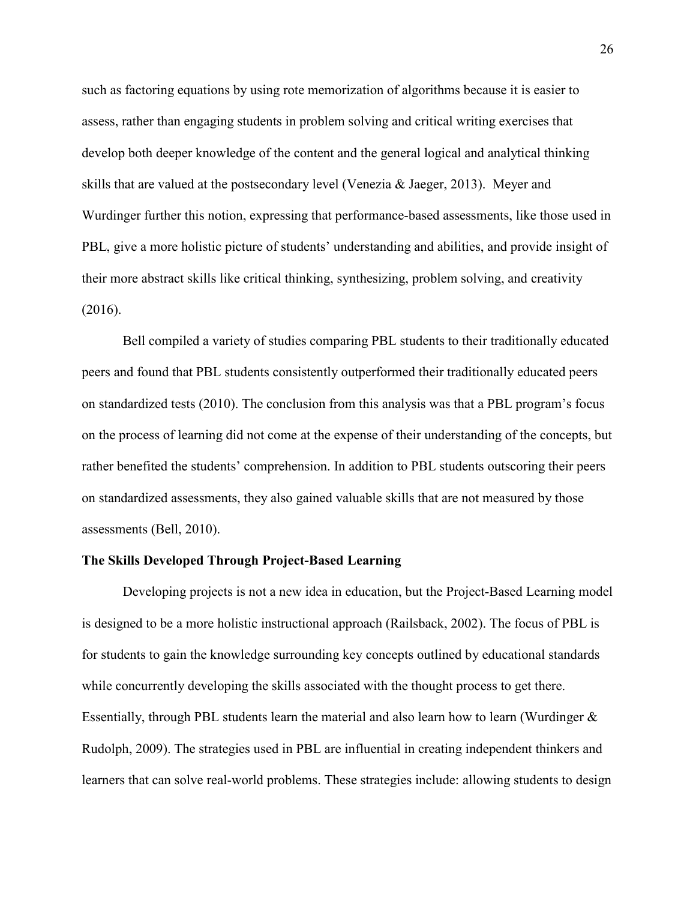such as factoring equations by using rote memorization of algorithms because it is easier to assess, rather than engaging students in problem solving and critical writing exercises that develop both deeper knowledge of the content and the general logical and analytical thinking skills that are valued at the postsecondary level (Venezia & Jaeger, 2013). Meyer and Wurdinger further this notion, expressing that performance-based assessments, like those used in PBL, give a more holistic picture of students' understanding and abilities, and provide insight of their more abstract skills like critical thinking, synthesizing, problem solving, and creativity (2016).

Bell compiled a variety of studies comparing PBL students to their traditionally educated peers and found that PBL students consistently outperformed their traditionally educated peers on standardized tests (2010). The conclusion from this analysis was that a PBL program's focus on the process of learning did not come at the expense of their understanding of the concepts, but rather benefited the students' comprehension. In addition to PBL students outscoring their peers on standardized assessments, they also gained valuable skills that are not measured by those assessments (Bell, 2010).

#### **The Skills Developed Through Project-Based Learning**

Developing projects is not a new idea in education, but the Project-Based Learning model is designed to be a more holistic instructional approach (Railsback, 2002). The focus of PBL is for students to gain the knowledge surrounding key concepts outlined by educational standards while concurrently developing the skills associated with the thought process to get there. Essentially, through PBL students learn the material and also learn how to learn (Wurdinger & Rudolph, 2009). The strategies used in PBL are influential in creating independent thinkers and learners that can solve real-world problems. These strategies include: allowing students to design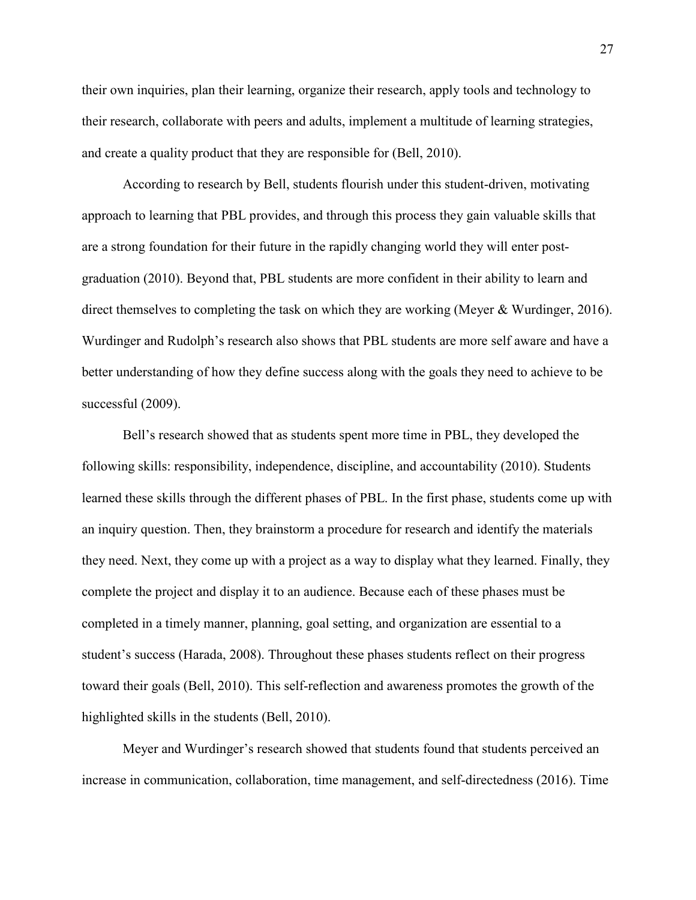their own inquiries, plan their learning, organize their research, apply tools and technology to their research, collaborate with peers and adults, implement a multitude of learning strategies, and create a quality product that they are responsible for (Bell, 2010).

According to research by Bell, students flourish under this student-driven, motivating approach to learning that PBL provides, and through this process they gain valuable skills that are a strong foundation for their future in the rapidly changing world they will enter postgraduation (2010). Beyond that, PBL students are more confident in their ability to learn and direct themselves to completing the task on which they are working (Meyer & Wurdinger, 2016). Wurdinger and Rudolph's research also shows that PBL students are more self aware and have a better understanding of how they define success along with the goals they need to achieve to be successful (2009).

Bell's research showed that as students spent more time in PBL, they developed the following skills: responsibility, independence, discipline, and accountability (2010). Students learned these skills through the different phases of PBL. In the first phase, students come up with an inquiry question. Then, they brainstorm a procedure for research and identify the materials they need. Next, they come up with a project as a way to display what they learned. Finally, they complete the project and display it to an audience. Because each of these phases must be completed in a timely manner, planning, goal setting, and organization are essential to a student's success (Harada, 2008). Throughout these phases students reflect on their progress toward their goals (Bell, 2010). This self-reflection and awareness promotes the growth of the highlighted skills in the students (Bell, 2010).

Meyer and Wurdinger's research showed that students found that students perceived an increase in communication, collaboration, time management, and self-directedness (2016). Time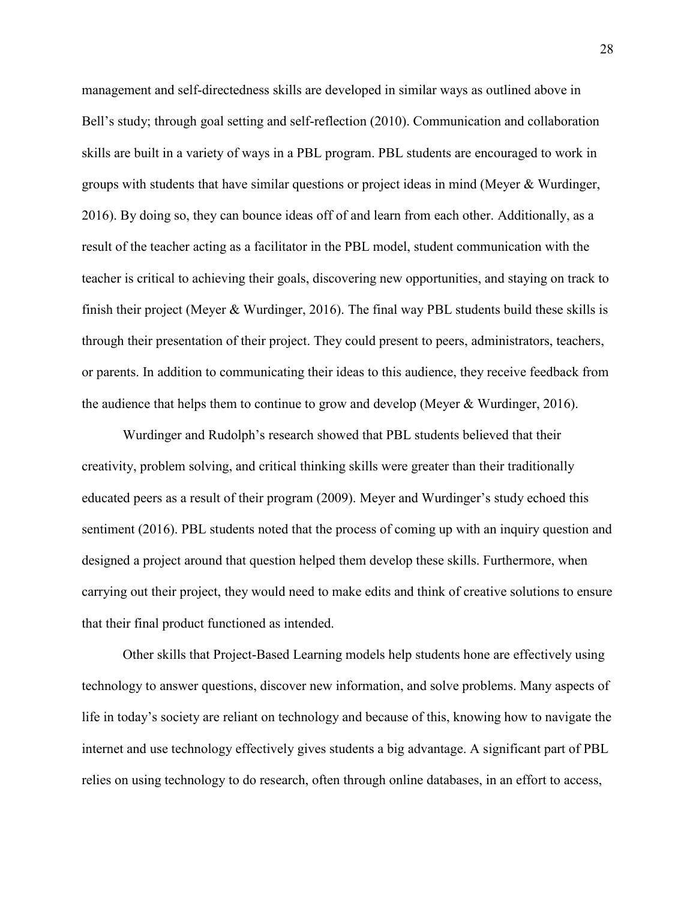management and self-directedness skills are developed in similar ways as outlined above in Bell's study; through goal setting and self-reflection (2010). Communication and collaboration skills are built in a variety of ways in a PBL program. PBL students are encouraged to work in groups with students that have similar questions or project ideas in mind (Meyer & Wurdinger, 2016). By doing so, they can bounce ideas off of and learn from each other. Additionally, as a result of the teacher acting as a facilitator in the PBL model, student communication with the teacher is critical to achieving their goals, discovering new opportunities, and staying on track to finish their project (Meyer & Wurdinger, 2016). The final way PBL students build these skills is through their presentation of their project. They could present to peers, administrators, teachers, or parents. In addition to communicating their ideas to this audience, they receive feedback from the audience that helps them to continue to grow and develop (Meyer & Wurdinger, 2016).

Wurdinger and Rudolph's research showed that PBL students believed that their creativity, problem solving, and critical thinking skills were greater than their traditionally educated peers as a result of their program (2009). Meyer and Wurdinger's study echoed this sentiment (2016). PBL students noted that the process of coming up with an inquiry question and designed a project around that question helped them develop these skills. Furthermore, when carrying out their project, they would need to make edits and think of creative solutions to ensure that their final product functioned as intended.

Other skills that Project-Based Learning models help students hone are effectively using technology to answer questions, discover new information, and solve problems. Many aspects of life in today's society are reliant on technology and because of this, knowing how to navigate the internet and use technology effectively gives students a big advantage. A significant part of PBL relies on using technology to do research, often through online databases, in an effort to access,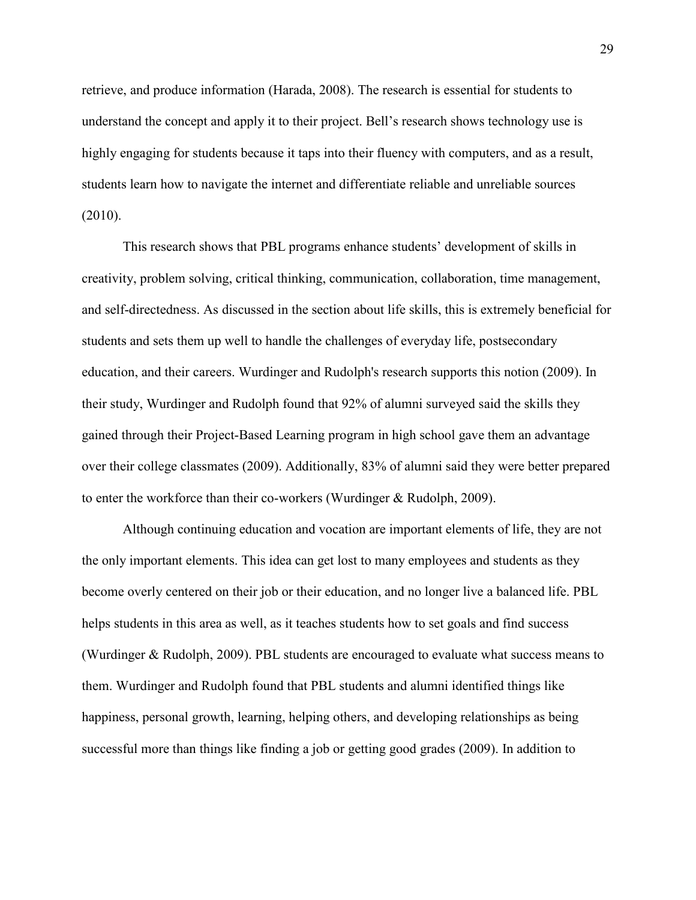retrieve, and produce information (Harada, 2008). The research is essential for students to understand the concept and apply it to their project. Bell's research shows technology use is highly engaging for students because it taps into their fluency with computers, and as a result, students learn how to navigate the internet and differentiate reliable and unreliable sources (2010).

This research shows that PBL programs enhance students' development of skills in creativity, problem solving, critical thinking, communication, collaboration, time management, and self-directedness. As discussed in the section about life skills, this is extremely beneficial for students and sets them up well to handle the challenges of everyday life, postsecondary education, and their careers. Wurdinger and Rudolph's research supports this notion (2009). In their study, Wurdinger and Rudolph found that 92% of alumni surveyed said the skills they gained through their Project-Based Learning program in high school gave them an advantage over their college classmates (2009). Additionally, 83% of alumni said they were better prepared to enter the workforce than their co-workers (Wurdinger & Rudolph, 2009).

Although continuing education and vocation are important elements of life, they are not the only important elements. This idea can get lost to many employees and students as they become overly centered on their job or their education, and no longer live a balanced life. PBL helps students in this area as well, as it teaches students how to set goals and find success (Wurdinger & Rudolph, 2009). PBL students are encouraged to evaluate what success means to them. Wurdinger and Rudolph found that PBL students and alumni identified things like happiness, personal growth, learning, helping others, and developing relationships as being successful more than things like finding a job or getting good grades (2009). In addition to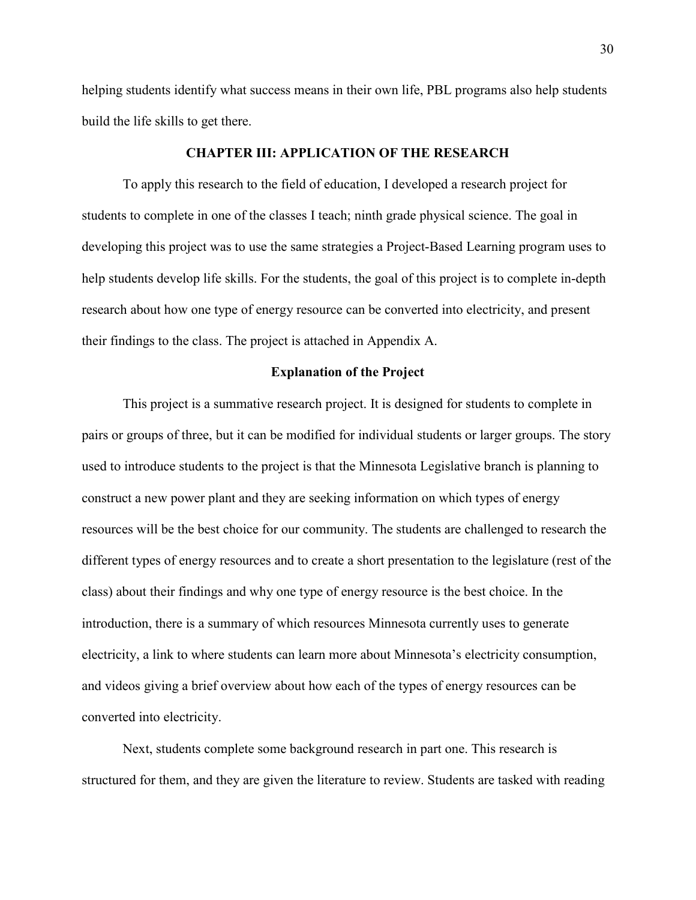helping students identify what success means in their own life, PBL programs also help students build the life skills to get there.

#### **CHAPTER III: APPLICATION OF THE RESEARCH**

 To apply this research to the field of education, I developed a research project for students to complete in one of the classes I teach; ninth grade physical science. The goal in developing this project was to use the same strategies a Project-Based Learning program uses to help students develop life skills. For the students, the goal of this project is to complete in-depth research about how one type of energy resource can be converted into electricity, and present their findings to the class. The project is attached in Appendix A.

#### **Explanation of the Project**

This project is a summative research project. It is designed for students to complete in pairs or groups of three, but it can be modified for individual students or larger groups. The story used to introduce students to the project is that the Minnesota Legislative branch is planning to construct a new power plant and they are seeking information on which types of energy resources will be the best choice for our community. The students are challenged to research the different types of energy resources and to create a short presentation to the legislature (rest of the class) about their findings and why one type of energy resource is the best choice. In the introduction, there is a summary of which resources Minnesota currently uses to generate electricity, a link to where students can learn more about Minnesota's electricity consumption, and videos giving a brief overview about how each of the types of energy resources can be converted into electricity.

 Next, students complete some background research in part one. This research is structured for them, and they are given the literature to review. Students are tasked with reading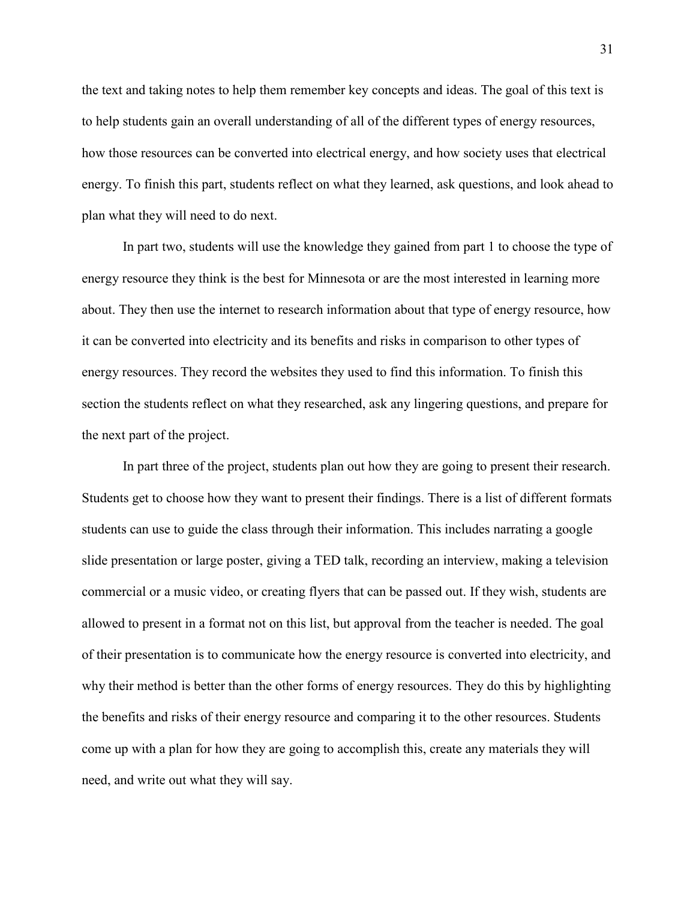the text and taking notes to help them remember key concepts and ideas. The goal of this text is to help students gain an overall understanding of all of the different types of energy resources, how those resources can be converted into electrical energy, and how society uses that electrical energy. To finish this part, students reflect on what they learned, ask questions, and look ahead to plan what they will need to do next.

 In part two, students will use the knowledge they gained from part 1 to choose the type of energy resource they think is the best for Minnesota or are the most interested in learning more about. They then use the internet to research information about that type of energy resource, how it can be converted into electricity and its benefits and risks in comparison to other types of energy resources. They record the websites they used to find this information. To finish this section the students reflect on what they researched, ask any lingering questions, and prepare for the next part of the project.

 In part three of the project, students plan out how they are going to present their research. Students get to choose how they want to present their findings. There is a list of different formats students can use to guide the class through their information. This includes narrating a google slide presentation or large poster, giving a TED talk, recording an interview, making a television commercial or a music video, or creating flyers that can be passed out. If they wish, students are allowed to present in a format not on this list, but approval from the teacher is needed. The goal of their presentation is to communicate how the energy resource is converted into electricity, and why their method is better than the other forms of energy resources. They do this by highlighting the benefits and risks of their energy resource and comparing it to the other resources. Students come up with a plan for how they are going to accomplish this, create any materials they will need, and write out what they will say.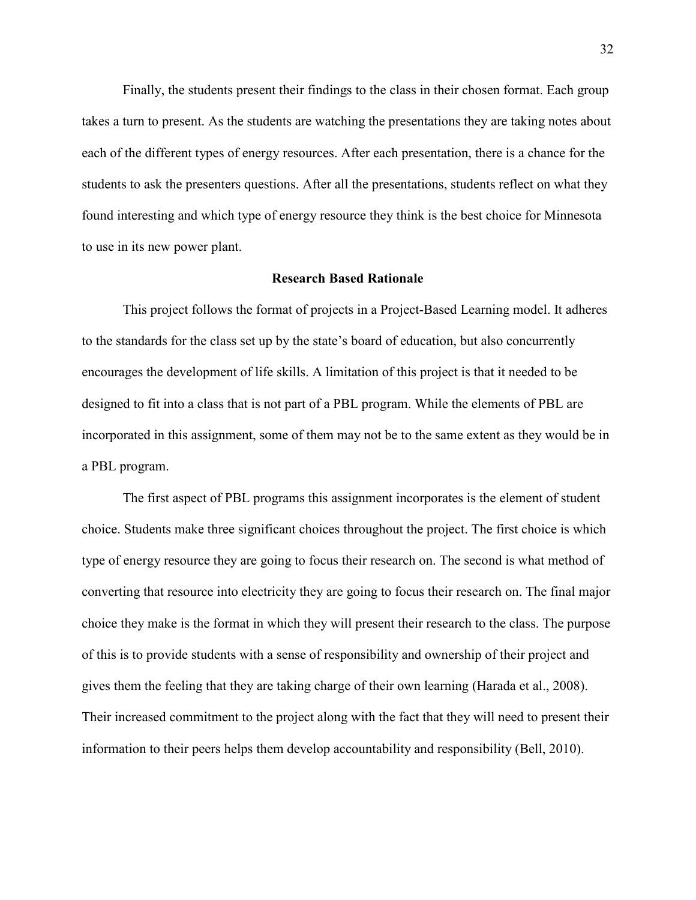Finally, the students present their findings to the class in their chosen format. Each group takes a turn to present. As the students are watching the presentations they are taking notes about each of the different types of energy resources. After each presentation, there is a chance for the students to ask the presenters questions. After all the presentations, students reflect on what they found interesting and which type of energy resource they think is the best choice for Minnesota to use in its new power plant.

#### **Research Based Rationale**

This project follows the format of projects in a Project-Based Learning model. It adheres to the standards for the class set up by the state's board of education, but also concurrently encourages the development of life skills. A limitation of this project is that it needed to be designed to fit into a class that is not part of a PBL program. While the elements of PBL are incorporated in this assignment, some of them may not be to the same extent as they would be in a PBL program.

The first aspect of PBL programs this assignment incorporates is the element of student choice. Students make three significant choices throughout the project. The first choice is which type of energy resource they are going to focus their research on. The second is what method of converting that resource into electricity they are going to focus their research on. The final major choice they make is the format in which they will present their research to the class. The purpose of this is to provide students with a sense of responsibility and ownership of their project and gives them the feeling that they are taking charge of their own learning (Harada et al., 2008). Their increased commitment to the project along with the fact that they will need to present their information to their peers helps them develop accountability and responsibility (Bell, 2010).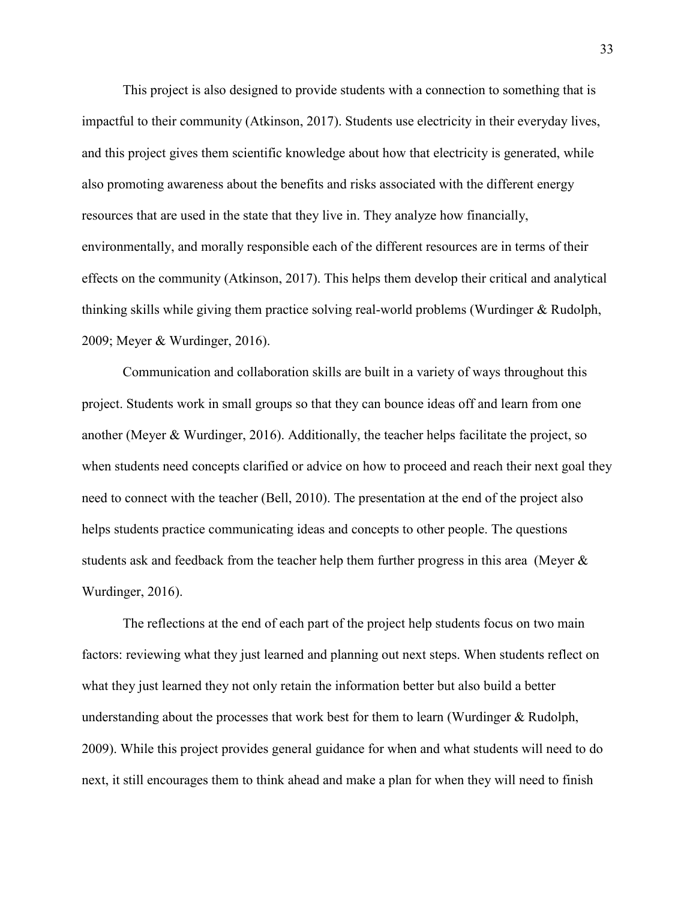This project is also designed to provide students with a connection to something that is impactful to their community (Atkinson, 2017). Students use electricity in their everyday lives, and this project gives them scientific knowledge about how that electricity is generated, while also promoting awareness about the benefits and risks associated with the different energy resources that are used in the state that they live in. They analyze how financially, environmentally, and morally responsible each of the different resources are in terms of their effects on the community (Atkinson, 2017). This helps them develop their critical and analytical thinking skills while giving them practice solving real-world problems (Wurdinger & Rudolph, 2009; Meyer & Wurdinger, 2016).

 Communication and collaboration skills are built in a variety of ways throughout this project. Students work in small groups so that they can bounce ideas off and learn from one another (Meyer & Wurdinger, 2016). Additionally, the teacher helps facilitate the project, so when students need concepts clarified or advice on how to proceed and reach their next goal they need to connect with the teacher (Bell, 2010). The presentation at the end of the project also helps students practice communicating ideas and concepts to other people. The questions students ask and feedback from the teacher help them further progress in this area (Meyer & Wurdinger, 2016).

 The reflections at the end of each part of the project help students focus on two main factors: reviewing what they just learned and planning out next steps. When students reflect on what they just learned they not only retain the information better but also build a better understanding about the processes that work best for them to learn (Wurdinger & Rudolph, 2009). While this project provides general guidance for when and what students will need to do next, it still encourages them to think ahead and make a plan for when they will need to finish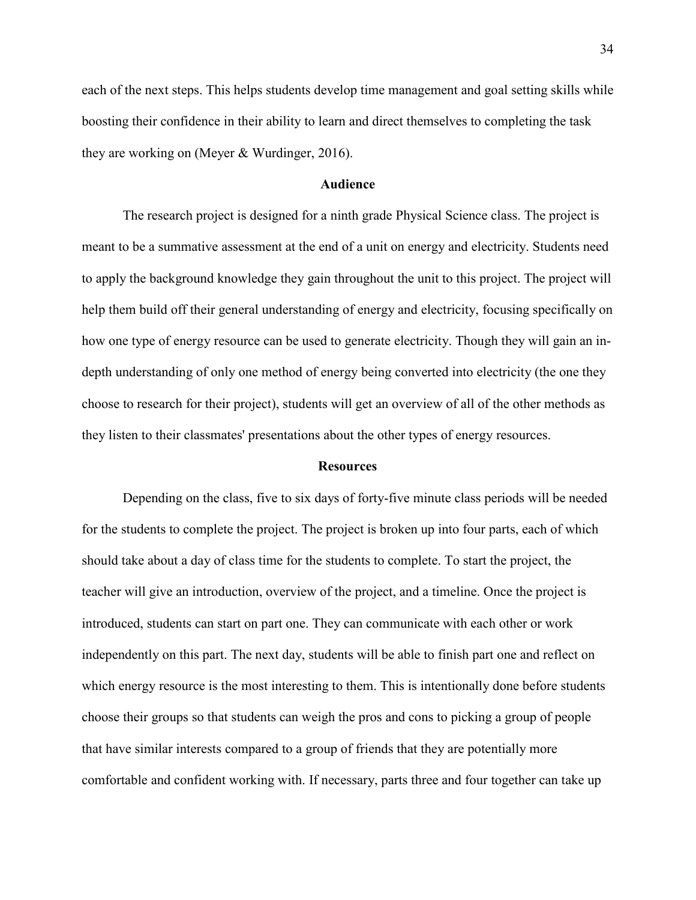each of the next steps. This helps students develop time management and goal setting skills while boosting their confidence in their ability to learn and direct themselves to completing the task they are working on (Meyer & Wurdinger, 2016).

#### **Audience**

The research project is designed for a ninth grade Physical Science class. The project is meant to be a summative assessment at the end of a unit on energy and electricity. Students need to apply the background knowledge they gain throughout the unit to this project. The project will help them build off their general understanding of energy and electricity, focusing specifically on how one type of energy resource can be used to generate electricity. Though they will gain an indepth understanding of only one method of energy being converted into electricity (the one they choose to research for their project), students will get an overview of all of the other methods as they listen to their classmates' presentations about the other types of energy resources.

#### **Resources**

Depending on the class, five to six days of forty-five minute class periods will be needed for the students to complete the project. The project is broken up into four parts, each of which should take about a day of class time for the students to complete. To start the project, the teacher will give an introduction, overview of the project, and a timeline. Once the project is introduced, students can start on part one. They can communicate with each other or work independently on this part. The next day, students will be able to finish part one and reflect on which energy resource is the most interesting to them. This is intentionally done before students choose their groups so that students can weigh the pros and cons to picking a group of people that have similar interests compared to a group of friends that they are potentially more comfortable and confident working with. If necessary, parts three and four together can take up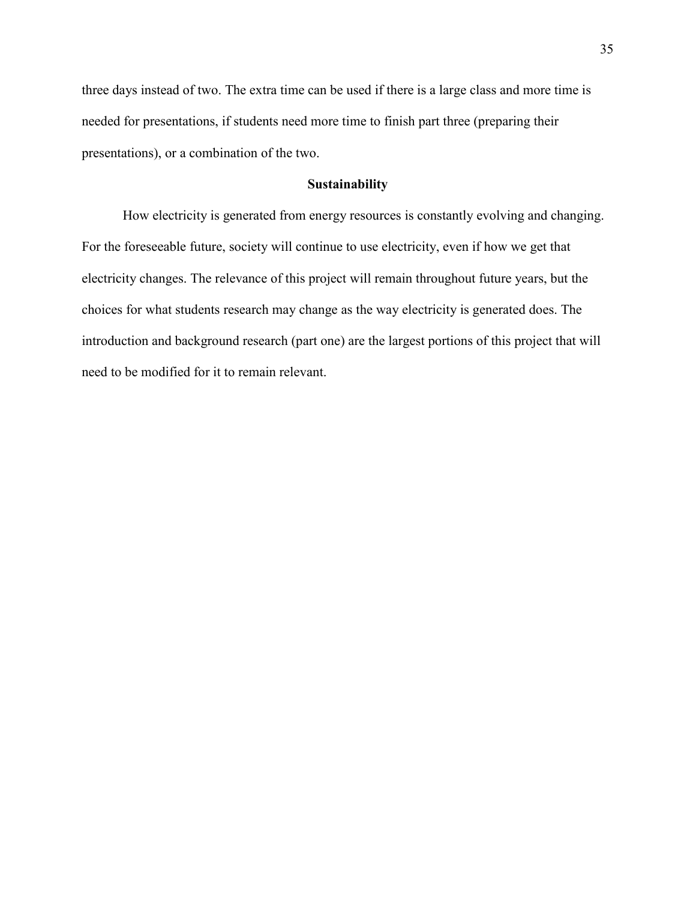three days instead of two. The extra time can be used if there is a large class and more time is needed for presentations, if students need more time to finish part three (preparing their presentations), or a combination of the two.

#### **Sustainability**

How electricity is generated from energy resources is constantly evolving and changing. For the foreseeable future, society will continue to use electricity, even if how we get that electricity changes. The relevance of this project will remain throughout future years, but the choices for what students research may change as the way electricity is generated does. The introduction and background research (part one) are the largest portions of this project that will need to be modified for it to remain relevant.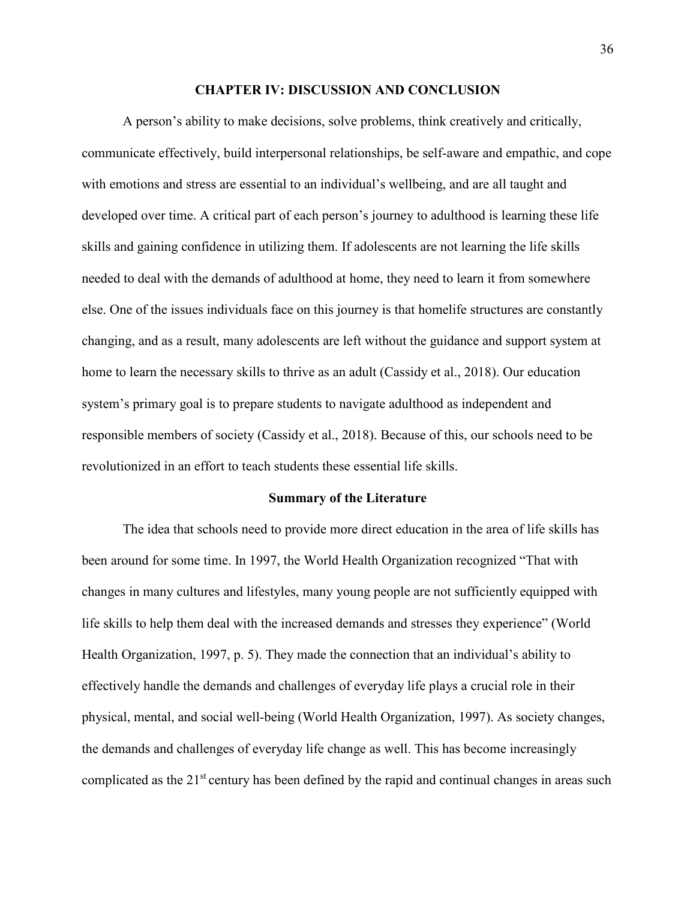#### **CHAPTER IV: DISCUSSION AND CONCLUSION**

A person's ability to make decisions, solve problems, think creatively and critically, communicate effectively, build interpersonal relationships, be self-aware and empathic, and cope with emotions and stress are essential to an individual's wellbeing, and are all taught and developed over time. A critical part of each person's journey to adulthood is learning these life skills and gaining confidence in utilizing them. If adolescents are not learning the life skills needed to deal with the demands of adulthood at home, they need to learn it from somewhere else. One of the issues individuals face on this journey is that homelife structures are constantly changing, and as a result, many adolescents are left without the guidance and support system at home to learn the necessary skills to thrive as an adult (Cassidy et al., 2018). Our education system's primary goal is to prepare students to navigate adulthood as independent and responsible members of society (Cassidy et al., 2018). Because of this, our schools need to be revolutionized in an effort to teach students these essential life skills.

#### **Summary of the Literature**

The idea that schools need to provide more direct education in the area of life skills has been around for some time. In 1997, the World Health Organization recognized "That with changes in many cultures and lifestyles, many young people are not sufficiently equipped with life skills to help them deal with the increased demands and stresses they experience" (World Health Organization, 1997, p. 5). They made the connection that an individual's ability to effectively handle the demands and challenges of everyday life plays a crucial role in their physical, mental, and social well-being (World Health Organization, 1997). As society changes, the demands and challenges of everyday life change as well. This has become increasingly complicated as the 21<sup>st</sup> century has been defined by the rapid and continual changes in areas such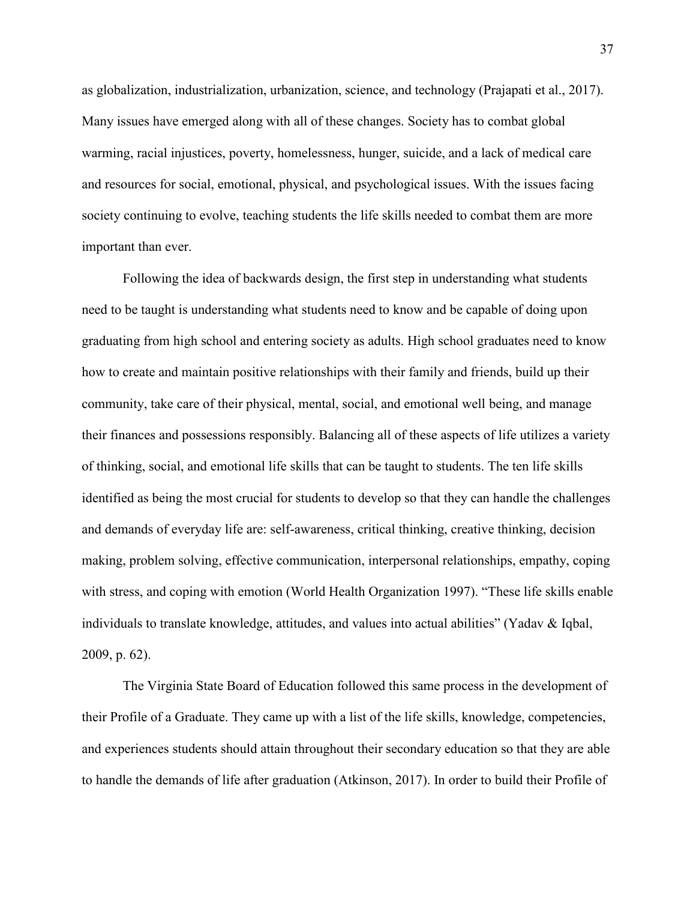as globalization, industrialization, urbanization, science, and technology (Prajapati et al., 2017). Many issues have emerged along with all of these changes. Society has to combat global warming, racial injustices, poverty, homelessness, hunger, suicide, and a lack of medical care and resources for social, emotional, physical, and psychological issues. With the issues facing society continuing to evolve, teaching students the life skills needed to combat them are more important than ever.

Following the idea of backwards design, the first step in understanding what students need to be taught is understanding what students need to know and be capable of doing upon graduating from high school and entering society as adults. High school graduates need to know how to create and maintain positive relationships with their family and friends, build up their community, take care of their physical, mental, social, and emotional well being, and manage their finances and possessions responsibly. Balancing all of these aspects of life utilizes a variety of thinking, social, and emotional life skills that can be taught to students. The ten life skills identified as being the most crucial for students to develop so that they can handle the challenges and demands of everyday life are: self-awareness, critical thinking, creative thinking, decision making, problem solving, effective communication, interpersonal relationships, empathy, coping with stress, and coping with emotion (World Health Organization 1997). "These life skills enable individuals to translate knowledge, attitudes, and values into actual abilities" (Yadav & Iqbal, 2009, p. 62).

The Virginia State Board of Education followed this same process in the development of their Profile of a Graduate. They came up with a list of the life skills, knowledge, competencies, and experiences students should attain throughout their secondary education so that they are able to handle the demands of life after graduation (Atkinson, 2017). In order to build their Profile of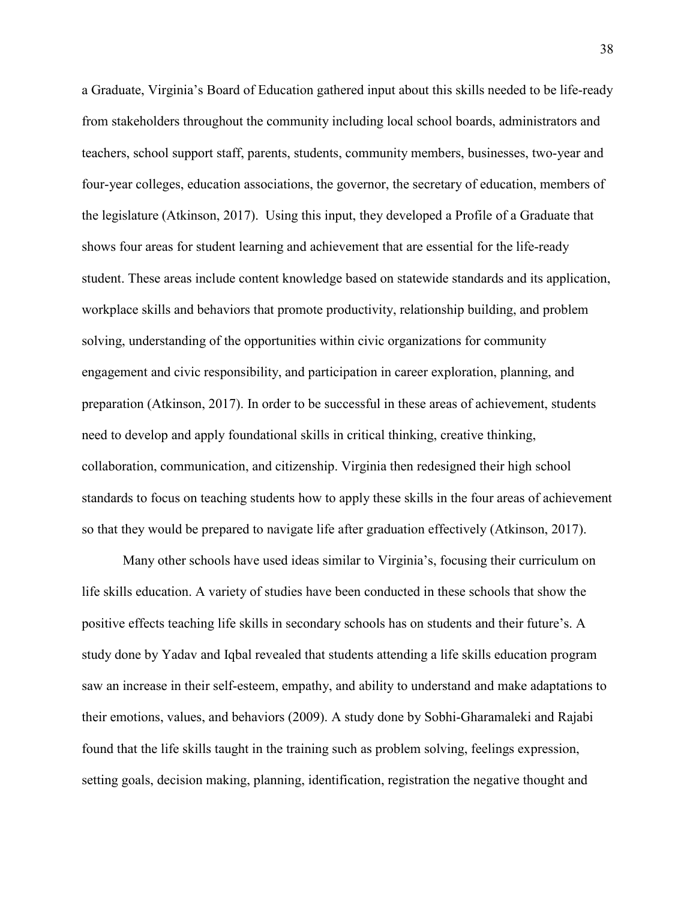a Graduate, Virginia's Board of Education gathered input about this skills needed to be life-ready from stakeholders throughout the community including local school boards, administrators and teachers, school support staff, parents, students, community members, businesses, two-year and four-year colleges, education associations, the governor, the secretary of education, members of the legislature (Atkinson, 2017). Using this input, they developed a Profile of a Graduate that shows four areas for student learning and achievement that are essential for the life-ready student. These areas include content knowledge based on statewide standards and its application, workplace skills and behaviors that promote productivity, relationship building, and problem solving, understanding of the opportunities within civic organizations for community engagement and civic responsibility, and participation in career exploration, planning, and preparation (Atkinson, 2017). In order to be successful in these areas of achievement, students need to develop and apply foundational skills in critical thinking, creative thinking, collaboration, communication, and citizenship. Virginia then redesigned their high school standards to focus on teaching students how to apply these skills in the four areas of achievement so that they would be prepared to navigate life after graduation effectively (Atkinson, 2017).

 Many other schools have used ideas similar to Virginia's, focusing their curriculum on life skills education. A variety of studies have been conducted in these schools that show the positive effects teaching life skills in secondary schools has on students and their future's. A study done by Yadav and Iqbal revealed that students attending a life skills education program saw an increase in their self-esteem, empathy, and ability to understand and make adaptations to their emotions, values, and behaviors (2009). A study done by Sobhi-Gharamaleki and Rajabi found that the life skills taught in the training such as problem solving, feelings expression, setting goals, decision making, planning, identification, registration the negative thought and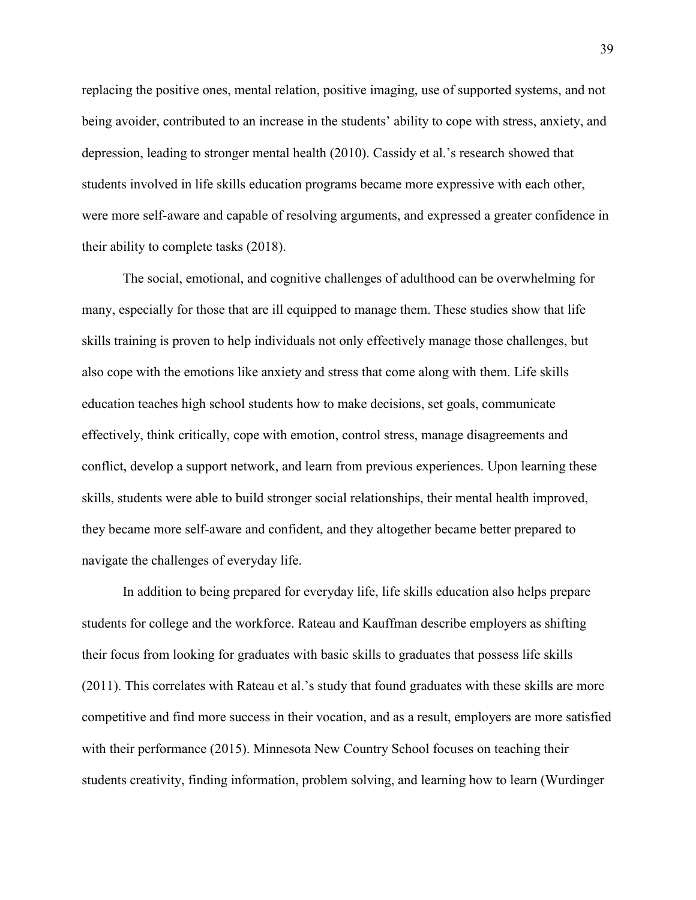replacing the positive ones, mental relation, positive imaging, use of supported systems, and not being avoider, contributed to an increase in the students' ability to cope with stress, anxiety, and depression, leading to stronger mental health (2010). Cassidy et al.'s research showed that students involved in life skills education programs became more expressive with each other, were more self-aware and capable of resolving arguments, and expressed a greater confidence in their ability to complete tasks (2018).

The social, emotional, and cognitive challenges of adulthood can be overwhelming for many, especially for those that are ill equipped to manage them. These studies show that life skills training is proven to help individuals not only effectively manage those challenges, but also cope with the emotions like anxiety and stress that come along with them. Life skills education teaches high school students how to make decisions, set goals, communicate effectively, think critically, cope with emotion, control stress, manage disagreements and conflict, develop a support network, and learn from previous experiences. Upon learning these skills, students were able to build stronger social relationships, their mental health improved, they became more self-aware and confident, and they altogether became better prepared to navigate the challenges of everyday life.

In addition to being prepared for everyday life, life skills education also helps prepare students for college and the workforce. Rateau and Kauffman describe employers as shifting their focus from looking for graduates with basic skills to graduates that possess life skills (2011). This correlates with Rateau et al.'s study that found graduates with these skills are more competitive and find more success in their vocation, and as a result, employers are more satisfied with their performance (2015). Minnesota New Country School focuses on teaching their students creativity, finding information, problem solving, and learning how to learn (Wurdinger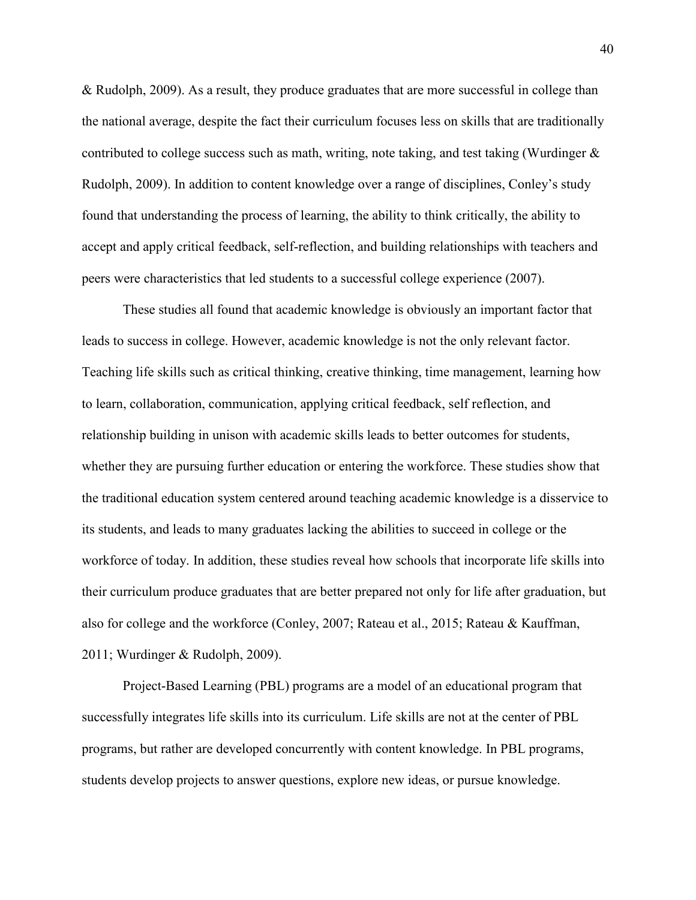& Rudolph, 2009). As a result, they produce graduates that are more successful in college than the national average, despite the fact their curriculum focuses less on skills that are traditionally contributed to college success such as math, writing, note taking, and test taking (Wurdinger  $\&$ Rudolph, 2009). In addition to content knowledge over a range of disciplines, Conley's study found that understanding the process of learning, the ability to think critically, the ability to accept and apply critical feedback, self-reflection, and building relationships with teachers and peers were characteristics that led students to a successful college experience (2007).

These studies all found that academic knowledge is obviously an important factor that leads to success in college. However, academic knowledge is not the only relevant factor. Teaching life skills such as critical thinking, creative thinking, time management, learning how to learn, collaboration, communication, applying critical feedback, self reflection, and relationship building in unison with academic skills leads to better outcomes for students, whether they are pursuing further education or entering the workforce. These studies show that the traditional education system centered around teaching academic knowledge is a disservice to its students, and leads to many graduates lacking the abilities to succeed in college or the workforce of today. In addition, these studies reveal how schools that incorporate life skills into their curriculum produce graduates that are better prepared not only for life after graduation, but also for college and the workforce (Conley, 2007; Rateau et al., 2015; Rateau & Kauffman, 2011; Wurdinger & Rudolph, 2009).

Project-Based Learning (PBL) programs are a model of an educational program that successfully integrates life skills into its curriculum. Life skills are not at the center of PBL programs, but rather are developed concurrently with content knowledge. In PBL programs, students develop projects to answer questions, explore new ideas, or pursue knowledge.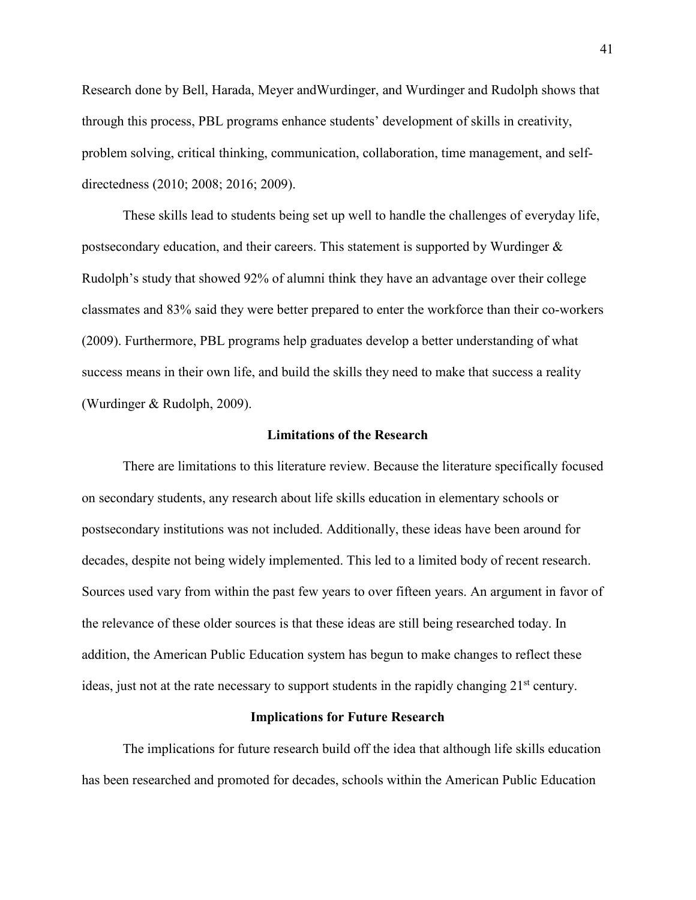Research done by Bell, Harada, Meyer andWurdinger, and Wurdinger and Rudolph shows that through this process, PBL programs enhance students' development of skills in creativity, problem solving, critical thinking, communication, collaboration, time management, and selfdirectedness (2010; 2008; 2016; 2009).

 These skills lead to students being set up well to handle the challenges of everyday life, postsecondary education, and their careers. This statement is supported by Wurdinger  $\&$ Rudolph's study that showed 92% of alumni think they have an advantage over their college classmates and 83% said they were better prepared to enter the workforce than their co-workers (2009). Furthermore, PBL programs help graduates develop a better understanding of what success means in their own life, and build the skills they need to make that success a reality (Wurdinger & Rudolph, 2009).

#### **Limitations of the Research**

There are limitations to this literature review. Because the literature specifically focused on secondary students, any research about life skills education in elementary schools or postsecondary institutions was not included. Additionally, these ideas have been around for decades, despite not being widely implemented. This led to a limited body of recent research. Sources used vary from within the past few years to over fifteen years. An argument in favor of the relevance of these older sources is that these ideas are still being researched today. In addition, the American Public Education system has begun to make changes to reflect these ideas, just not at the rate necessary to support students in the rapidly changing 21<sup>st</sup> century.

#### **Implications for Future Research**

 The implications for future research build off the idea that although life skills education has been researched and promoted for decades, schools within the American Public Education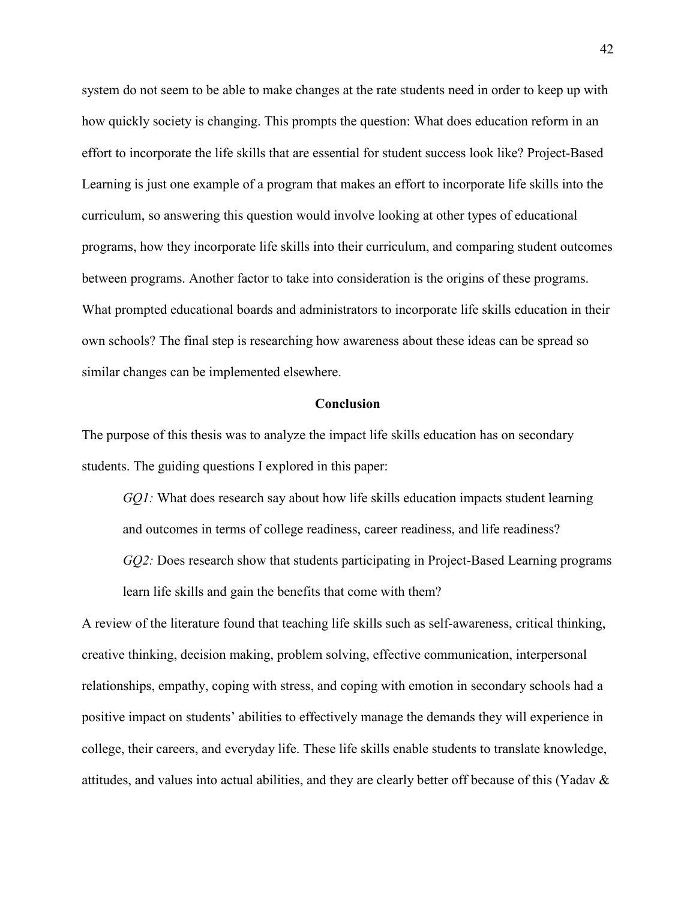system do not seem to be able to make changes at the rate students need in order to keep up with how quickly society is changing. This prompts the question: What does education reform in an effort to incorporate the life skills that are essential for student success look like? Project-Based Learning is just one example of a program that makes an effort to incorporate life skills into the curriculum, so answering this question would involve looking at other types of educational programs, how they incorporate life skills into their curriculum, and comparing student outcomes between programs. Another factor to take into consideration is the origins of these programs. What prompted educational boards and administrators to incorporate life skills education in their own schools? The final step is researching how awareness about these ideas can be spread so similar changes can be implemented elsewhere.

#### **Conclusion**

The purpose of this thesis was to analyze the impact life skills education has on secondary students. The guiding questions I explored in this paper:

*GQ1:* What does research say about how life skills education impacts student learning and outcomes in terms of college readiness, career readiness, and life readiness? *GQ2:* Does research show that students participating in Project-Based Learning programs learn life skills and gain the benefits that come with them?

A review of the literature found that teaching life skills such as self-awareness, critical thinking, creative thinking, decision making, problem solving, effective communication, interpersonal relationships, empathy, coping with stress, and coping with emotion in secondary schools had a positive impact on students' abilities to effectively manage the demands they will experience in college, their careers, and everyday life. These life skills enable students to translate knowledge, attitudes, and values into actual abilities, and they are clearly better off because of this (Yadav &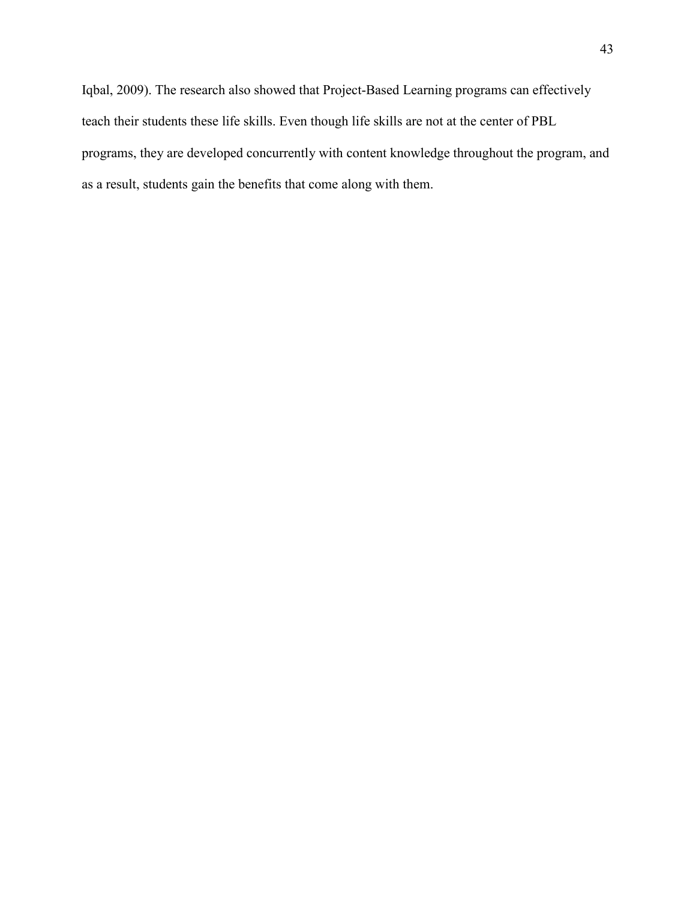Iqbal, 2009). The research also showed that Project-Based Learning programs can effectively teach their students these life skills. Even though life skills are not at the center of PBL programs, they are developed concurrently with content knowledge throughout the program, and as a result, students gain the benefits that come along with them.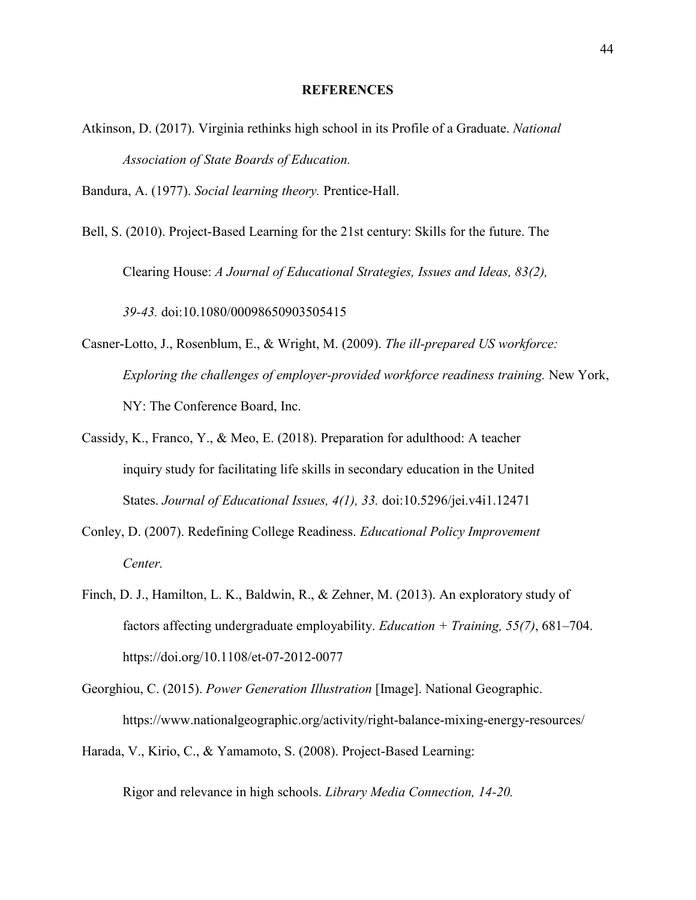#### **REFERENCES**

Atkinson, D. (2017). Virginia rethinks high school in its Profile of a Graduate. *National Association of State Boards of Education.* 

Bandura, A. (1977). *Social learning theory.* Prentice-Hall.

Bell, S. (2010). Project-Based Learning for the 21st century: Skills for the future. The Clearing House: *A Journal of Educational Strategies, Issues and Ideas, 83(2), 39-43.* doi:10.1080/00098650903505415

- Casner-Lotto, J., Rosenblum, E., & Wright, M. (2009). *The ill-prepared US workforce: Exploring the challenges of employer-provided workforce readiness training.* New York, NY: The Conference Board, Inc.
- Cassidy, K., Franco, Y., & Meo, E. (2018). Preparation for adulthood: A teacher inquiry study for facilitating life skills in secondary education in the United States. *Journal of Educational Issues, 4(1), 33.* doi:10.5296/jei.v4i1.12471
- Conley, D. (2007). Redefining College Readiness. *Educational Policy Improvement Center.*
- Finch, D. J., Hamilton, L. K., Baldwin, R., & Zehner, M. (2013). An exploratory study of factors affecting undergraduate employability. *Education + Training, 55(7)*, 681–704. https://doi.org/10.1108/et-07-2012-0077
- Georghiou, C. (2015). *Power Generation Illustration* [Image]. National Geographic. https://www.nationalgeographic.org/activity/right-balance-mixing-energy-resources/
- Harada, V., Kirio, C., & Yamamoto, S. (2008). Project-Based Learning:

Rigor and relevance in high schools. *Library Media Connection, 14-20.*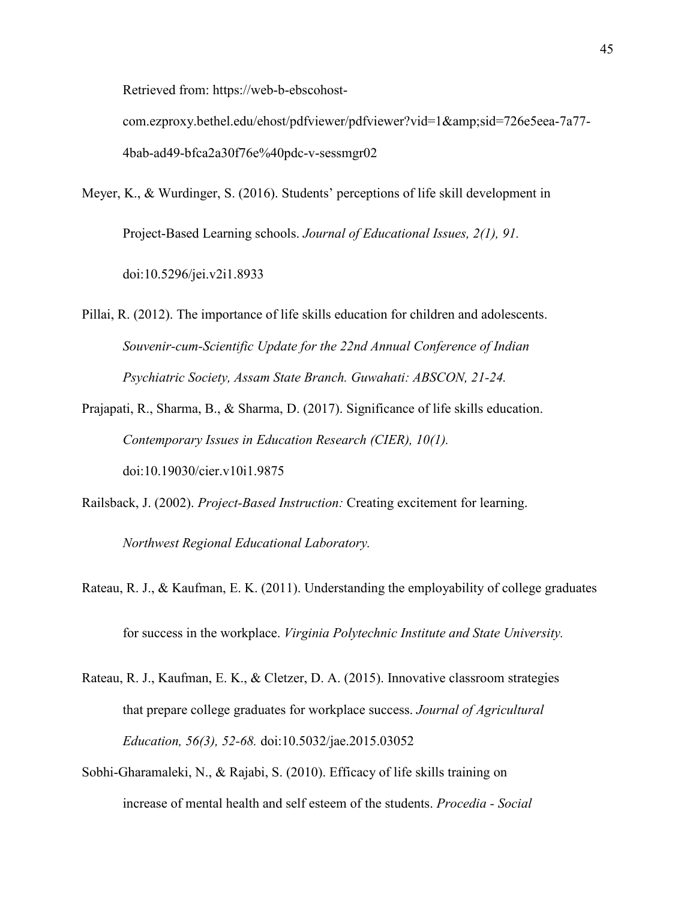Retrieved from: https://web-b-ebscohost-

com.ezproxy.bethel.edu/ehost/pdfviewer/pdfviewer?vid=1&sid=726e5eea-7a77-4bab-ad49-bfca2a30f76e%40pdc-v-sessmgr02

- Meyer, K., & Wurdinger, S. (2016). Students' perceptions of life skill development in Project-Based Learning schools. *Journal of Educational Issues, 2(1), 91.* doi:10.5296/jei.v2i1.8933
- Pillai, R. (2012). The importance of life skills education for children and adolescents. *Souvenir-cum-Scientific Update for the 22nd Annual Conference of Indian Psychiatric Society, Assam State Branch. Guwahati: ABSCON, 21-24.*
- Prajapati, R., Sharma, B., & Sharma, D. (2017). Significance of life skills education. *Contemporary Issues in Education Research (CIER), 10(1).* doi:10.19030/cier.v10i1.9875
- Railsback, J. (2002). *Project-Based Instruction:* Creating excitement for learning.

*Northwest Regional Educational Laboratory.* 

- Rateau, R. J., & Kaufman, E. K. (2011). Understanding the employability of college graduates for success in the workplace. *Virginia Polytechnic Institute and State University.*
- Rateau, R. J., Kaufman, E. K., & Cletzer, D. A. (2015). Innovative classroom strategies that prepare college graduates for workplace success. *Journal of Agricultural Education, 56(3), 52-68.* doi:10.5032/jae.2015.03052
- Sobhi-Gharamaleki, N., & Rajabi, S. (2010). Efficacy of life skills training on increase of mental health and self esteem of the students. *Procedia - Social*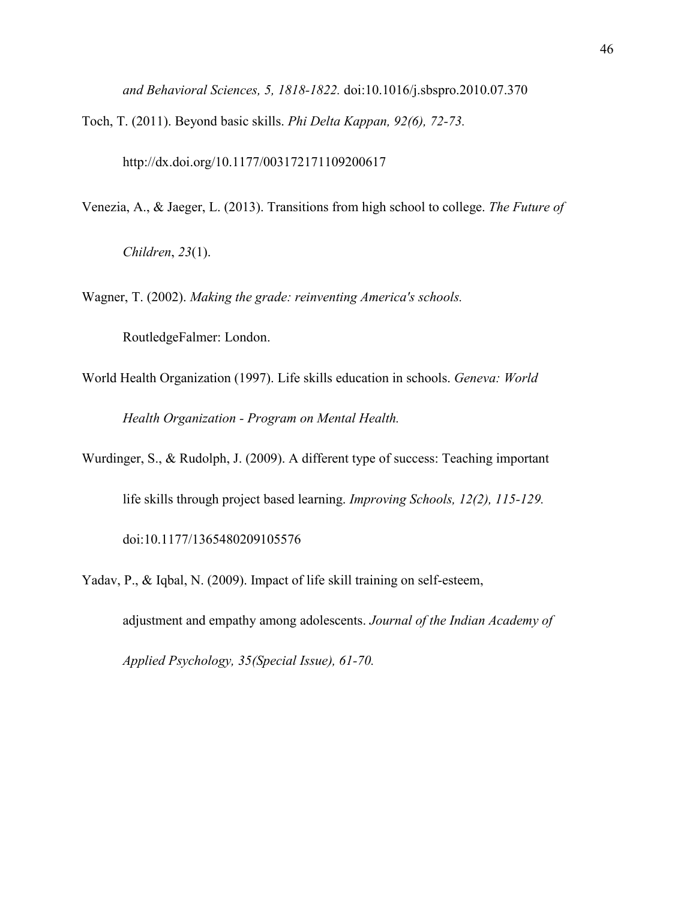*and Behavioral Sciences, 5, 1818-1822.* doi:10.1016/j.sbspro.2010.07.370

Toch, T. (2011). Beyond basic skills. *Phi Delta Kappan, 92(6), 72-73.*

http://dx.doi.org/10.1177/003172171109200617

Venezia, A., & Jaeger, L. (2013). Transitions from high school to college. *The Future of* 

*Children*, *23*(1).

Wagner, T. (2002). *Making the grade: reinventing America's schools.*

RoutledgeFalmer: London.

- World Health Organization (1997). Life skills education in schools. *Geneva: World Health Organization - Program on Mental Health.*
- Wurdinger, S., & Rudolph, J. (2009). A different type of success: Teaching important life skills through project based learning. *Improving Schools, 12(2), 115-129.*  doi:10.1177/1365480209105576
- Yadav, P., & Iqbal, N. (2009). Impact of life skill training on self-esteem, adjustment and empathy among adolescents. *Journal of the Indian Academy of Applied Psychology, 35(Special Issue), 61-70.*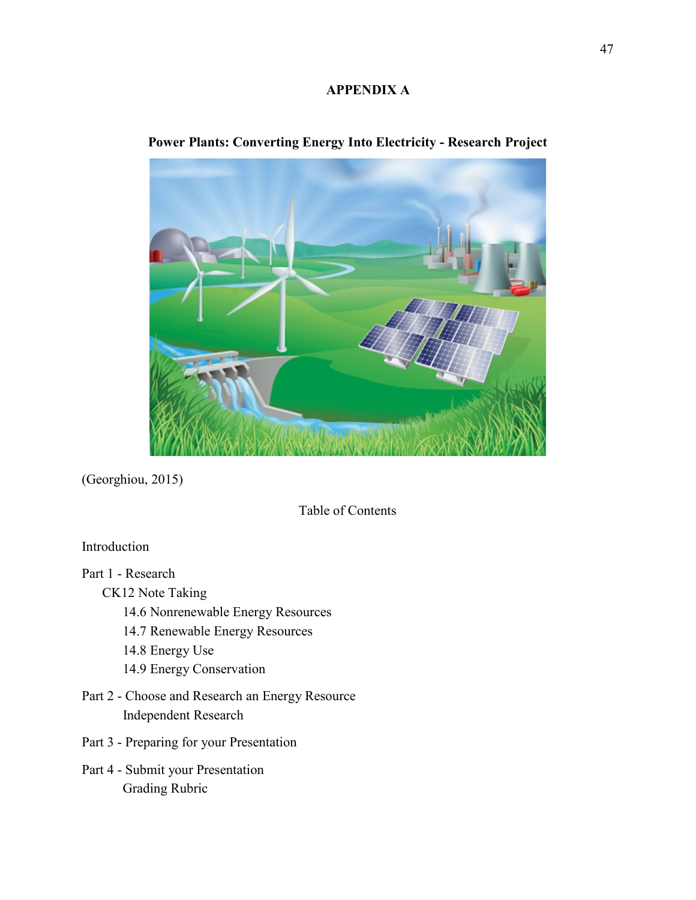#### **APPENDIX A**



### **Power Plants: Converting Energy Into Electricity - Research Project**

(Georghiou, 2015)

Table of Contents

### Introduction

Part 1 - Research

CK12 Note Taking

- 14.6 Nonrenewable Energy Resources
- 14.7 Renewable Energy Resources
- 14.8 Energy Use
- 14.9 Energy Conservation
- Part 2 Choose and Research an Energy Resource Independent Research
- Part 3 Preparing for your Presentation
- Part 4 Submit your Presentation Grading Rubric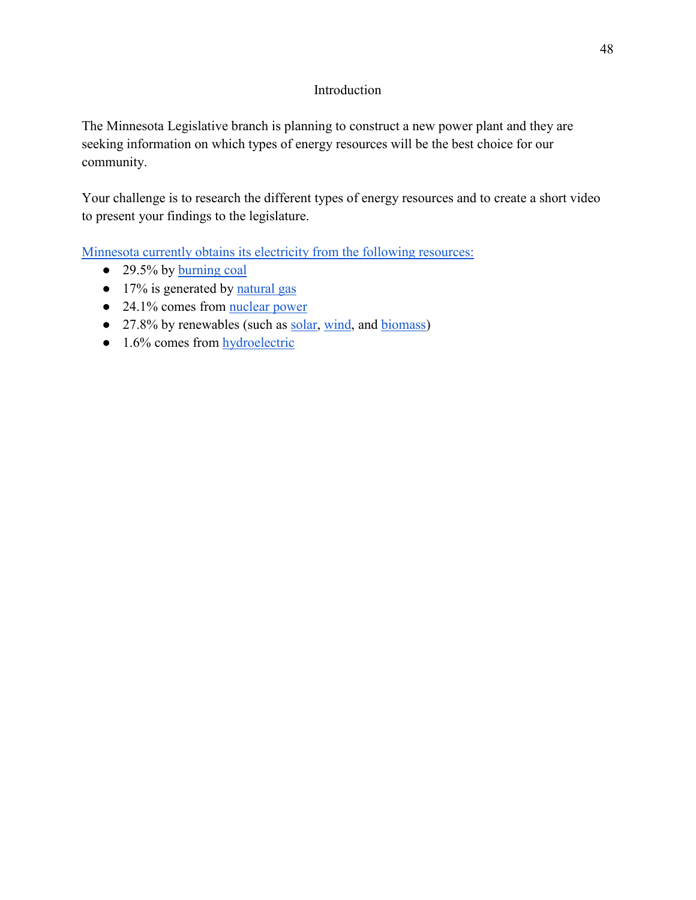### Introduction

The Minnesota Legislative branch is planning to construct a new power plant and they are seeking information on which types of energy resources will be the best choice for our community.

Your challenge is to research the different types of energy resources and to create a short video to present your findings to the legislature.

[Minnesota currently obtains its electricity from the following resources:](https://www.eia.gov/state/?sid=MN#tabs-4)

- 29.5% by <u>burning coal</u>
- 17% is generated by [natural gas](https://www.youtube.com/watch?v=sOKAv_HKkas)
- 24.1% comes from <u>nuclear power</u>
- 27.8% by renewables (such as [solar,](https://www.khanacademy.org/partner-content/nova/energy/v/solarpower) [wind,](https://www.khanacademy.org/partner-content/nova/energy/v/windpower) and [biomass\)](https://youtu.be/7cCSV0IO4zE)
- 1.6% comes from hydroelectric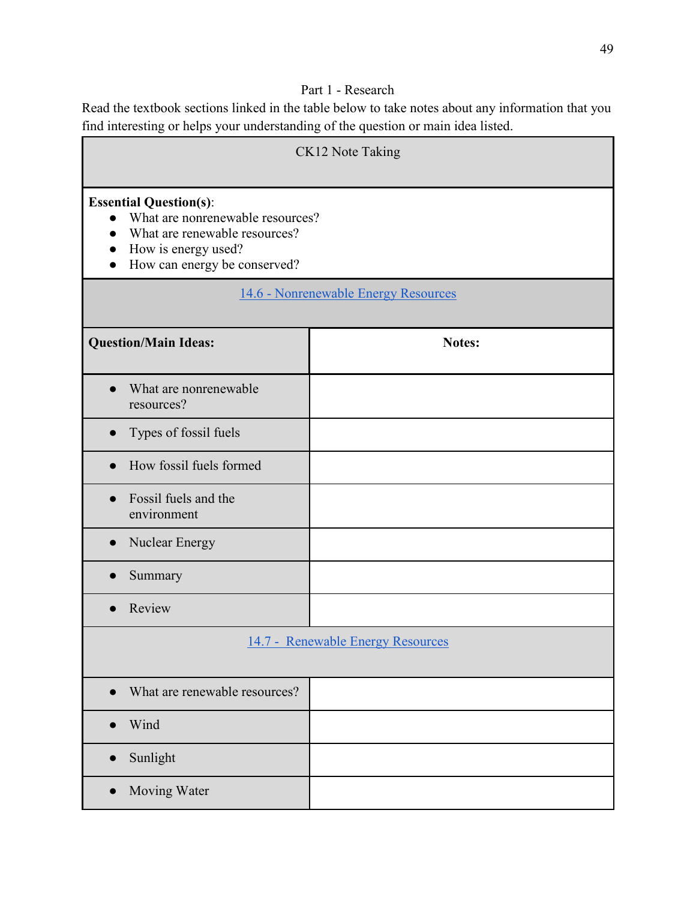## Part 1 - Research

Read the textbook sections linked in the table below to take notes about any information that you find interesting or helps your understanding of the question or main idea listed.

| CK12 Note Taking                                                                                                                                                       |                                   |
|------------------------------------------------------------------------------------------------------------------------------------------------------------------------|-----------------------------------|
| <b>Essential Question(s):</b><br>What are nonrenewable resources?<br>$\bullet$<br>What are renewable resources?<br>How is energy used?<br>How can energy be conserved? |                                   |
| 14.6 - Nonrenewable Energy Resources                                                                                                                                   |                                   |
| <b>Question/Main Ideas:</b>                                                                                                                                            | Notes:                            |
| What are nonrenewable<br>resources?                                                                                                                                    |                                   |
| Types of fossil fuels                                                                                                                                                  |                                   |
| How fossil fuels formed                                                                                                                                                |                                   |
| Fossil fuels and the<br>environment                                                                                                                                    |                                   |
| Nuclear Energy                                                                                                                                                         |                                   |
| Summary                                                                                                                                                                |                                   |
| Review                                                                                                                                                                 |                                   |
|                                                                                                                                                                        | 14.7 - Renewable Energy Resources |
| What are renewable resources?                                                                                                                                          |                                   |
| Wind                                                                                                                                                                   |                                   |
| Sunlight<br>$\bullet$                                                                                                                                                  |                                   |
| Moving Water<br>$\bullet$                                                                                                                                              |                                   |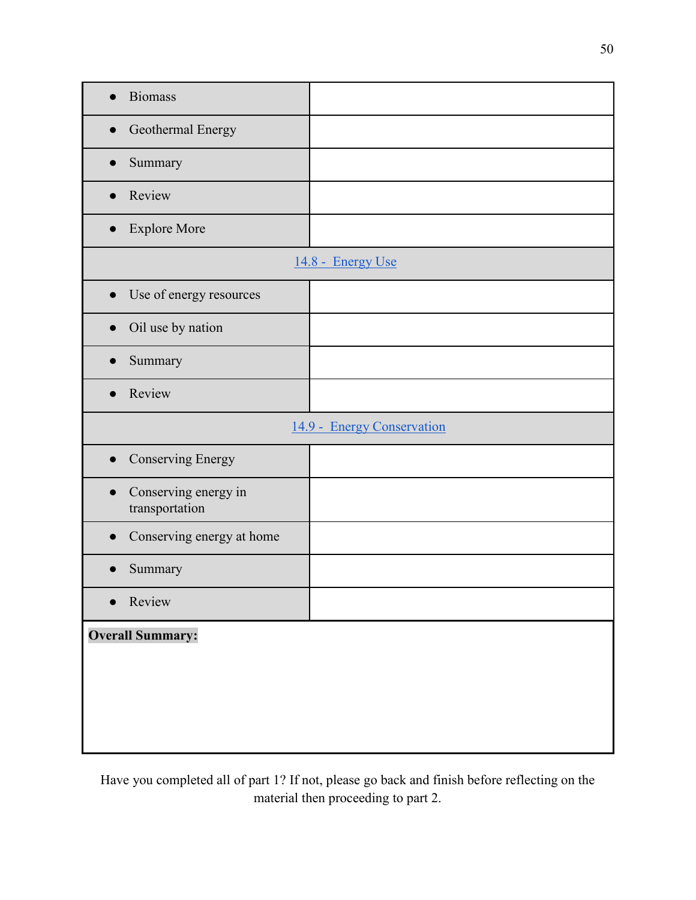| <b>Biomass</b>                                      |                            |  |
|-----------------------------------------------------|----------------------------|--|
| Geothermal Energy                                   |                            |  |
| Summary<br>$\bullet$                                |                            |  |
| Review                                              |                            |  |
| <b>Explore More</b><br>$\bullet$                    |                            |  |
|                                                     | 14.8 - Energy Use          |  |
| Use of energy resources                             |                            |  |
| Oil use by nation<br>$\bullet$                      |                            |  |
| Summary                                             |                            |  |
| Review                                              |                            |  |
|                                                     | 14.9 - Energy Conservation |  |
| <b>Conserving Energy</b><br>$\bullet$               |                            |  |
| Conserving energy in<br>$\bullet$<br>transportation |                            |  |
| Conserving energy at home                           |                            |  |
| Summary                                             |                            |  |
| Review<br>$\bullet$                                 |                            |  |
| <b>Overall Summary:</b>                             |                            |  |

Have you completed all of part 1? If not, please go back and finish before reflecting on the material then proceeding to part 2.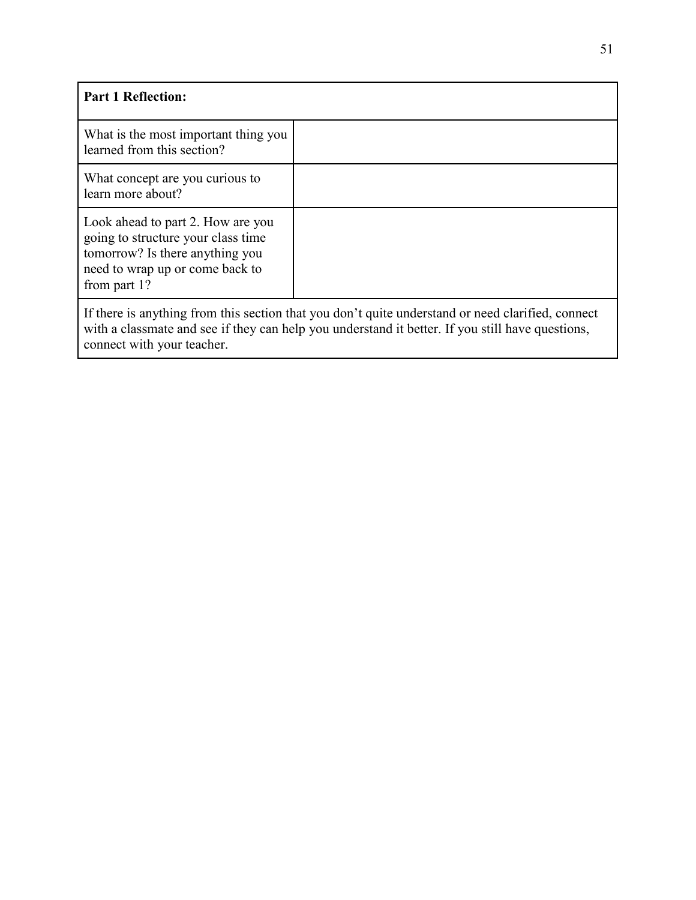| <b>Part 1 Reflection:</b>                                                                                                                                                                                                           |  |
|-------------------------------------------------------------------------------------------------------------------------------------------------------------------------------------------------------------------------------------|--|
| What is the most important thing you<br>learned from this section?                                                                                                                                                                  |  |
| What concept are you curious to<br>learn more about?                                                                                                                                                                                |  |
| Look ahead to part 2. How are you<br>going to structure your class time<br>tomorrow? Is there anything you<br>need to wrap up or come back to<br>from part 1?                                                                       |  |
| If there is anything from this section that you don't quite understand or need clarified, connect<br>with a classmate and see if they can help you understand it better. If you still have questions,<br>connect with your teacher. |  |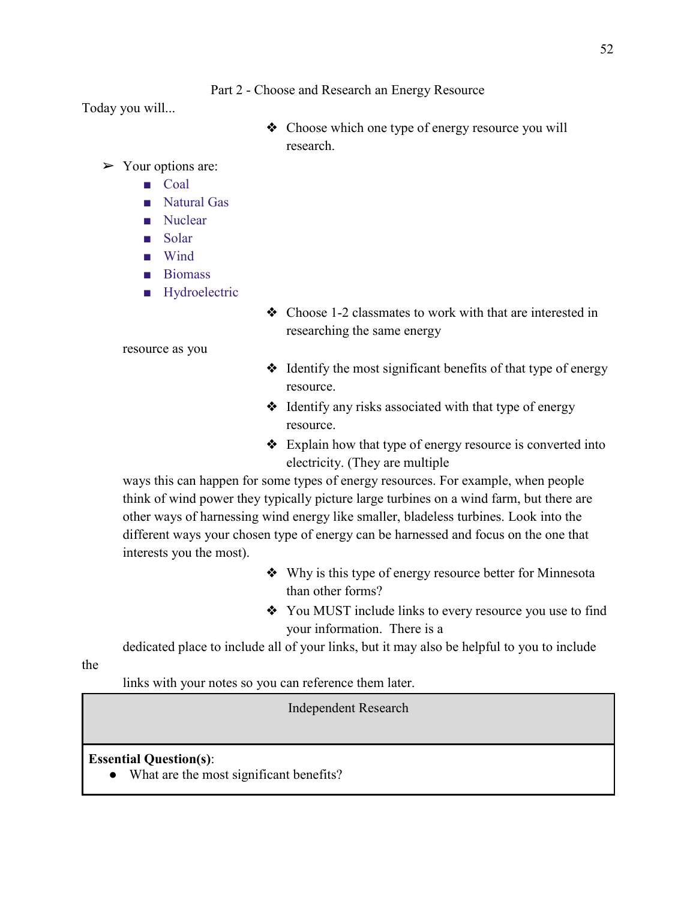Part 2 - Choose and Research an Energy Resource

Today you will...

❖ Choose which one type of energy resource you will research.

 $\triangleright$  Your options are:

- Coal
- Natural Gas
- Nuclear
- Solar
- Wind
- Biomass
- Hydroelectric

❖ Choose 1-2 classmates to work with that are interested in researching the same energy

resource as you

- ❖ Identify the most significant benefits of that type of energy resource.
- ❖ Identify any risks associated with that type of energy resource.
- ❖ Explain how that type of energy resource is converted into electricity. (They are multiple

 ways this can happen for some types of energy resources. For example, when people think of wind power they typically picture large turbines on a wind farm, but there are other ways of harnessing wind energy like smaller, bladeless turbines. Look into the different ways your chosen type of energy can be harnessed and focus on the one that interests you the most).

- ❖ Why is this type of energy resource better for Minnesota than other forms?
- ❖ You MUST include links to every resource you use to find your information. There is a

dedicated place to include all of your links, but it may also be helpful to you to include

the

links with your notes so you can reference them later.

Independent Research

**Essential Question(s)**:

• What are the most significant benefits?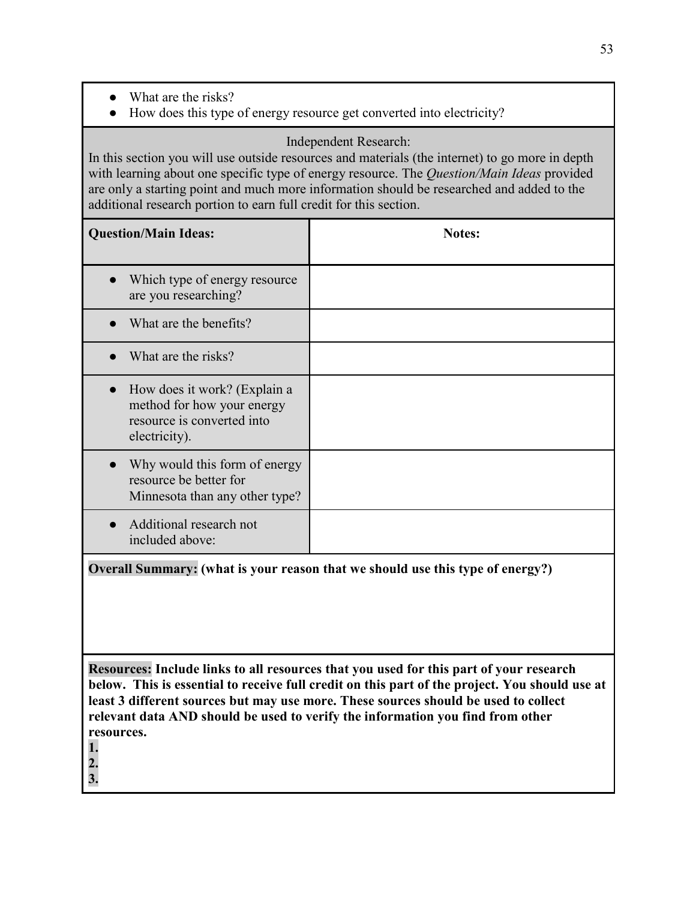- What are the risks?
- How does this type of energy resource get converted into electricity?

### Independent Research:

In this section you will use outside resources and materials (the internet) to go more in depth with learning about one specific type of energy resource. The *Question/Main Ideas* provided are only a starting point and much more information should be researched and added to the additional research portion to earn full credit for this section.

| <b>Question/Main Ideas:</b>                                                                               | <b>Notes:</b> |
|-----------------------------------------------------------------------------------------------------------|---------------|
| Which type of energy resource<br>are you researching?                                                     |               |
| What are the benefits?                                                                                    |               |
| What are the risks?                                                                                       |               |
| How does it work? (Explain a<br>method for how your energy<br>resource is converted into<br>electricity). |               |
| Why would this form of energy<br>resource be better for<br>Minnesota than any other type?                 |               |
| Additional research not<br>included above:                                                                |               |

**Overall Summary: (what is your reason that we should use this type of energy?)**

**Resources: Include links to all resources that you used for this part of your research below. This is essential to receive full credit on this part of the project. You should use at least 3 different sources but may use more. These sources should be used to collect relevant data AND should be used to verify the information you find from other resources.**

**1.** 

**2.**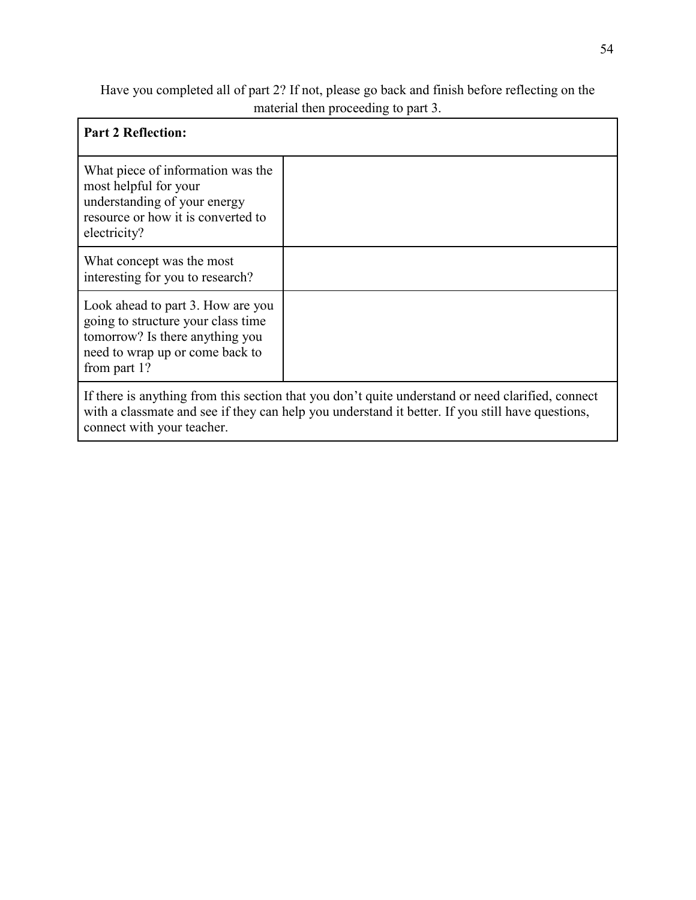## Have you completed all of part 2? If not, please go back and finish before reflecting on the material then proceeding to part 3.

| <b>Part 2 Reflection:</b>                                                                                                                                                                                                           |  |
|-------------------------------------------------------------------------------------------------------------------------------------------------------------------------------------------------------------------------------------|--|
| What piece of information was the<br>most helpful for your<br>understanding of your energy<br>resource or how it is converted to<br>electricity?                                                                                    |  |
| What concept was the most<br>interesting for you to research?                                                                                                                                                                       |  |
| Look ahead to part 3. How are you<br>going to structure your class time<br>tomorrow? Is there anything you<br>need to wrap up or come back to<br>from part 1?                                                                       |  |
| If there is anything from this section that you don't quite understand or need clarified, connect<br>with a classmate and see if they can help you understand it better. If you still have questions,<br>connect with your teacher. |  |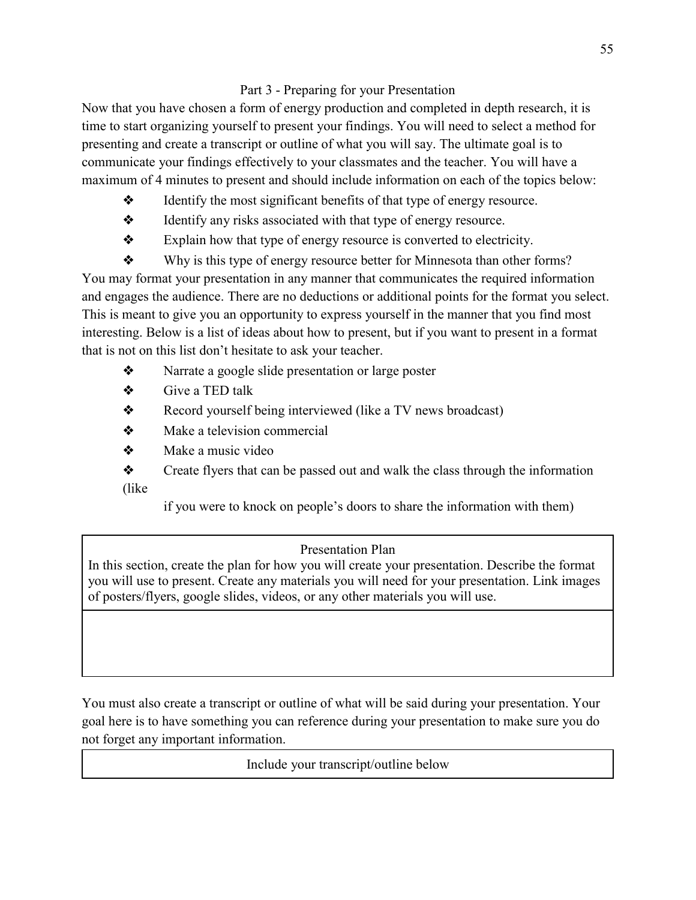### Part 3 - Preparing for your Presentation

Now that you have chosen a form of energy production and completed in depth research, it is time to start organizing yourself to present your findings. You will need to select a method for presenting and create a transcript or outline of what you will say. The ultimate goal is to communicate your findings effectively to your classmates and the teacher. You will have a maximum of 4 minutes to present and should include information on each of the topics below:

- ❖ Identify the most significant benefits of that type of energy resource.
- ❖ Identify any risks associated with that type of energy resource.
- ❖ Explain how that type of energy resource is converted to electricity.

❖ Why is this type of energy resource better for Minnesota than other forms? You may format your presentation in any manner that communicates the required information and engages the audience. There are no deductions or additional points for the format you select. This is meant to give you an opportunity to express yourself in the manner that you find most interesting. Below is a list of ideas about how to present, but if you want to present in a format that is not on this list don't hesitate to ask your teacher.

- ❖ Narrate a google slide presentation or large poster
- ❖ Give a TED talk
- ❖ Record yourself being interviewed (like a TV news broadcast)
- ❖ Make a television commercial
- ❖ Make a music video
- ❖ Create flyers that can be passed out and walk the class through the information (like

if you were to knock on people's doors to share the information with them)

## Presentation Plan

In this section, create the plan for how you will create your presentation. Describe the format you will use to present. Create any materials you will need for your presentation. Link images of posters/flyers, google slides, videos, or any other materials you will use.

You must also create a transcript or outline of what will be said during your presentation. Your goal here is to have something you can reference during your presentation to make sure you do not forget any important information.

Include your transcript/outline below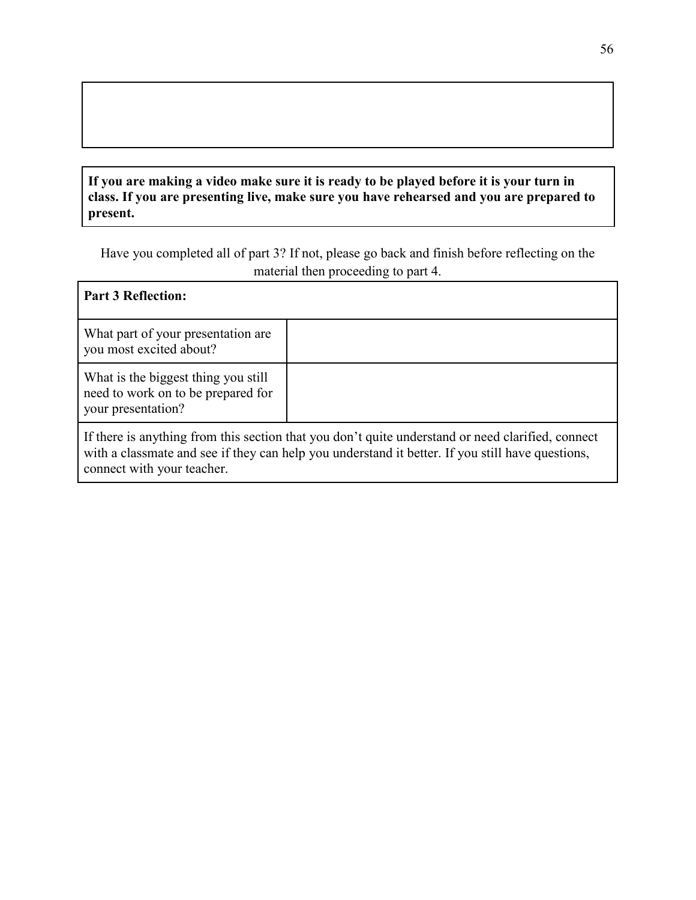### **If you are making a video make sure it is ready to be played before it is your turn in class. If you are presenting live, make sure you have rehearsed and you are prepared to present.**

Have you completed all of part 3? If not, please go back and finish before reflecting on the material then proceeding to part 4.

| <b>Part 3 Reflection:</b>                                                                       |                                                                                                                                                                                                       |
|-------------------------------------------------------------------------------------------------|-------------------------------------------------------------------------------------------------------------------------------------------------------------------------------------------------------|
| What part of your presentation are.<br>you most excited about?                                  |                                                                                                                                                                                                       |
| What is the biggest thing you still<br>need to work on to be prepared for<br>your presentation? |                                                                                                                                                                                                       |
| connect with your teacher.                                                                      | If there is anything from this section that you don't quite understand or need clarified, connect<br>with a classmate and see if they can help you understand it better. If you still have questions, |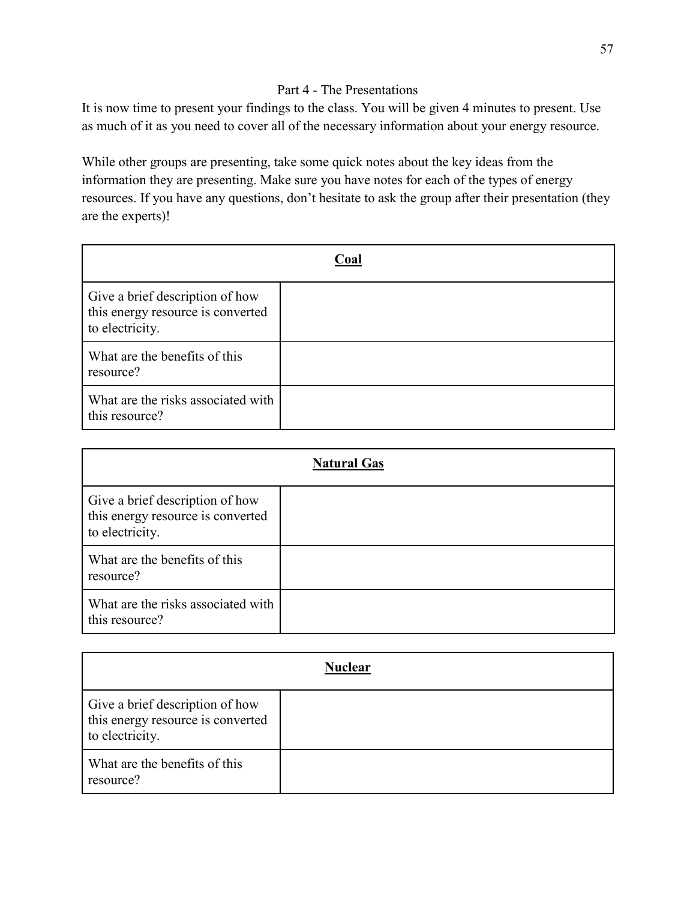### Part 4 - The Presentations

It is now time to present your findings to the class. You will be given 4 minutes to present. Use as much of it as you need to cover all of the necessary information about your energy resource.

While other groups are presenting, take some quick notes about the key ideas from the information they are presenting. Make sure you have notes for each of the types of energy resources. If you have any questions, don't hesitate to ask the group after their presentation (they are the experts)!

| Coal                                                                                    |  |
|-----------------------------------------------------------------------------------------|--|
| Give a brief description of how<br>this energy resource is converted<br>to electricity. |  |
| What are the benefits of this<br>resource?                                              |  |
| What are the risks associated with<br>this resource?                                    |  |

| <b>Natural Gas</b>                                                                      |  |
|-----------------------------------------------------------------------------------------|--|
| Give a brief description of how<br>this energy resource is converted<br>to electricity. |  |
| What are the benefits of this<br>resource?                                              |  |
| What are the risks associated with<br>this resource?                                    |  |

| <b>Nuclear</b>                                                                          |  |
|-----------------------------------------------------------------------------------------|--|
| Give a brief description of how<br>this energy resource is converted<br>to electricity. |  |
| What are the benefits of this<br>resource?                                              |  |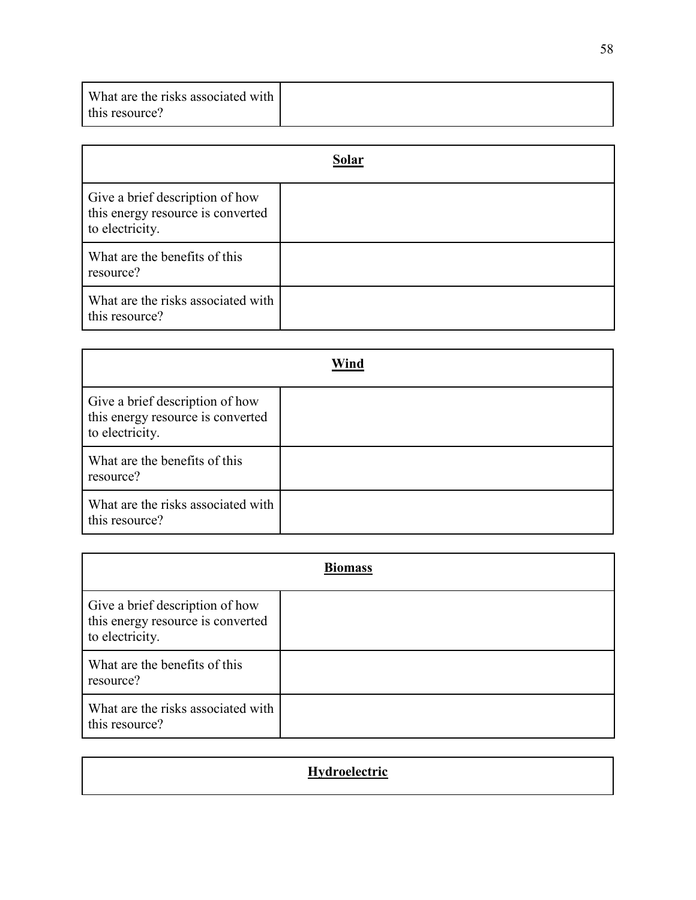| What are the risks associated with |  |
|------------------------------------|--|
| this resource?                     |  |

|                                                                                         | Solar |
|-----------------------------------------------------------------------------------------|-------|
| Give a brief description of how<br>this energy resource is converted<br>to electricity. |       |
| What are the benefits of this<br>resource?                                              |       |
| What are the risks associated with<br>this resource?                                    |       |

|                                                                                         | Wind |
|-----------------------------------------------------------------------------------------|------|
| Give a brief description of how<br>this energy resource is converted<br>to electricity. |      |
| What are the benefits of this<br>resource?                                              |      |
| What are the risks associated with<br>this resource?                                    |      |

| <b>Biomass</b>                                                                          |  |  |  |  |
|-----------------------------------------------------------------------------------------|--|--|--|--|
| Give a brief description of how<br>this energy resource is converted<br>to electricity. |  |  |  |  |
| What are the benefits of this<br>resource?                                              |  |  |  |  |
| What are the risks associated with<br>this resource?                                    |  |  |  |  |

| Hydroelectric |  |
|---------------|--|
|---------------|--|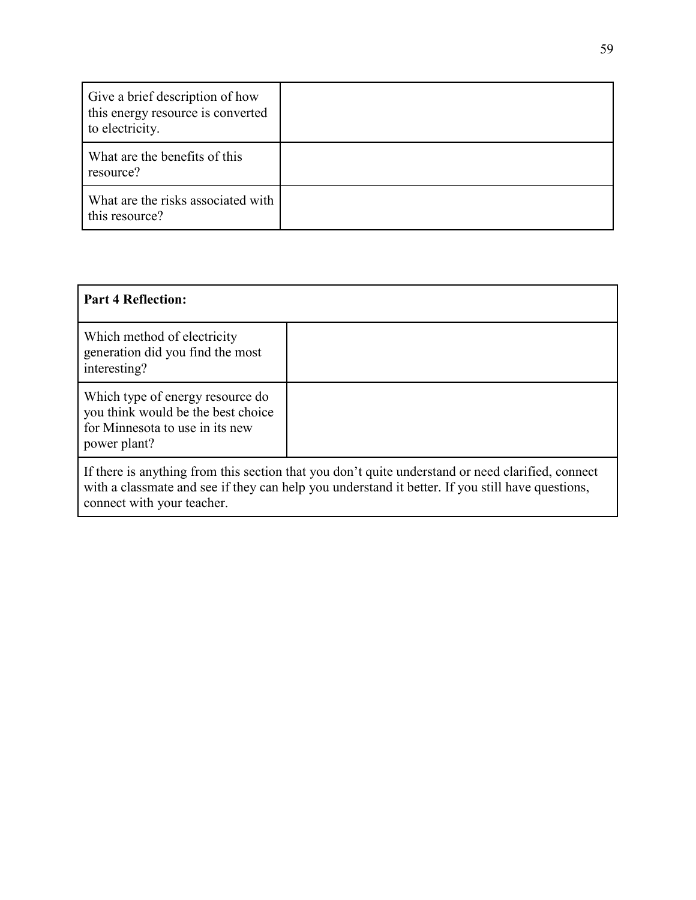| Give a brief description of how<br>this energy resource is converted<br>to electricity. |  |
|-----------------------------------------------------------------------------------------|--|
| What are the benefits of this<br>resource?                                              |  |
| What are the risks associated with<br>this resource?                                    |  |

| <b>Part 4 Reflection:</b>                                                                                                                                                                                                           |  |  |  |  |  |
|-------------------------------------------------------------------------------------------------------------------------------------------------------------------------------------------------------------------------------------|--|--|--|--|--|
| Which method of electricity<br>generation did you find the most<br>interesting?                                                                                                                                                     |  |  |  |  |  |
| Which type of energy resource do<br>you think would be the best choice<br>for Minnesota to use in its new<br>power plant?                                                                                                           |  |  |  |  |  |
| If there is anything from this section that you don't quite understand or need clarified, connect<br>with a classmate and see if they can help you understand it better. If you still have questions,<br>connect with your teacher. |  |  |  |  |  |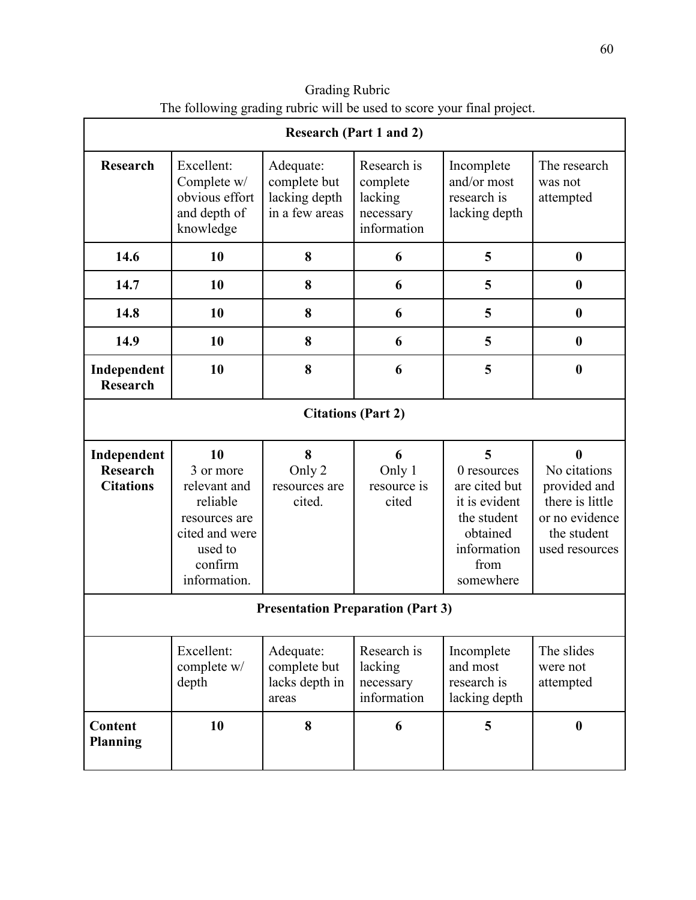|                                                    | <b>Research (Part 1 and 2)</b>                                                                                       |                                                              |                                                                |                                                                                                                   |                                                                                                         |  |
|----------------------------------------------------|----------------------------------------------------------------------------------------------------------------------|--------------------------------------------------------------|----------------------------------------------------------------|-------------------------------------------------------------------------------------------------------------------|---------------------------------------------------------------------------------------------------------|--|
| <b>Research</b>                                    | Excellent:<br>Complete w/<br>obvious effort<br>and depth of<br>knowledge                                             | Adequate:<br>complete but<br>lacking depth<br>in a few areas | Research is<br>complete<br>lacking<br>necessary<br>information | Incomplete<br>and/or most<br>research is<br>lacking depth                                                         | The research<br>was not<br>attempted                                                                    |  |
| 14.6                                               | 10                                                                                                                   | 8                                                            | 6                                                              | 5                                                                                                                 | $\boldsymbol{0}$                                                                                        |  |
| 14.7                                               | 10                                                                                                                   | 8                                                            | 6                                                              | 5                                                                                                                 | $\boldsymbol{0}$                                                                                        |  |
| 14.8                                               | 10                                                                                                                   | 8                                                            | 6                                                              | 5                                                                                                                 | $\boldsymbol{0}$                                                                                        |  |
| 14.9                                               | 10                                                                                                                   | 8                                                            | 6                                                              | 5                                                                                                                 | $\boldsymbol{0}$                                                                                        |  |
| Independent<br><b>Research</b>                     | 10                                                                                                                   | 8                                                            | 6                                                              | 5                                                                                                                 | $\boldsymbol{0}$                                                                                        |  |
| <b>Citations (Part 2)</b>                          |                                                                                                                      |                                                              |                                                                |                                                                                                                   |                                                                                                         |  |
| Independent<br><b>Research</b><br><b>Citations</b> | 10<br>3 or more<br>relevant and<br>reliable<br>resources are<br>cited and were<br>used to<br>confirm<br>information. | 8<br>Only 2<br>resources are<br>cited.                       | 6<br>Only 1<br>resource is<br>cited                            | 5<br>0 resources<br>are cited but<br>it is evident<br>the student<br>obtained<br>information<br>from<br>somewhere | 0<br>No citations<br>provided and<br>there is little<br>or no evidence<br>the student<br>used resources |  |
| <b>Presentation Preparation (Part 3)</b>           |                                                                                                                      |                                                              |                                                                |                                                                                                                   |                                                                                                         |  |
|                                                    | Excellent:<br>complete w/<br>depth                                                                                   | Adequate:<br>complete but<br>lacks depth in<br>areas         | Research is<br>lacking<br>necessary<br>information             | Incomplete<br>and most<br>research is<br>lacking depth                                                            | The slides<br>were not<br>attempted                                                                     |  |
| Content<br><b>Planning</b>                         | 10                                                                                                                   | 8                                                            | 6                                                              | 5                                                                                                                 | $\boldsymbol{0}$                                                                                        |  |

Grading Rubric The following grading rubric will be used to score your final project.